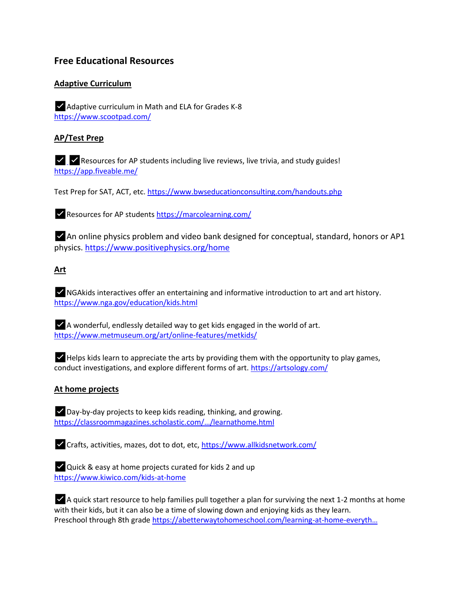# **Free Educational Resources**

# **Adaptive Curriculum**

✅Adaptive curriculum in Math and ELA for Grades K-8 [https://www.scootpad.com/](https://www.scootpad.com/?fbclid=IwAR1aEhNYppSyqd-ACF4_ePHSHJXHWu7a1q3pdP2B4VDpZl8gKALnCmWjGZA)

## **AP/Test Prep**

✅✅Resources for AP students including live reviews, live trivia, and study guides! [https://app.fiveable.me/](https://app.fiveable.me/?fbclid=IwAR26DWj1mrNWBf67p0g9wO0Xx68lJMVDoGS6XZsJNgpt3gQxjETdd_Ggde8)

Test Prep for SAT, ACT, etc. [https://www.bwseducationconsulting.com/handouts.php](https://l.facebook.com/l.php?u=https%3A%2F%2Fwww.bwseducationconsulting.com%2Fhandouts.php%3Ffbclid%3DIwAR3icMdbB1gPm1b3_j5dX-eUkWalb6uCiKypACX4ImdYMur1y30tf-j4gdw&h=AT3XmX6irAN1EawIt_JjJokvLTfoX6YR2ynE770Td156UMW7fEzYexNk8PEkq28mUGIkeC44XHNkR_4p9Vcsocn_wEVP2KLsIuvXaL-dFjbGcnoXnxaTK5DHR6AlLGy2J4hnH5D12taT3kiZw2qIo4nZqRvlUX_lsiqmgw)

✅Resources for AP students [https://marcolearning.com/](https://l.facebook.com/l.php?u=https%3A%2F%2Fmarcolearning.com%2F%3Ffbclid%3DIwAR2CwBHJ7PEJK44DpZpYhDd20YIFOXb-Cs-yL-8k1GgL8tNp0QkwgTzXRTA&h=AT0kNvGaPCLFrWYPfdgTP5zHSll_Xb2iukAA8GfPk68uoBqAZFCM4_xt5cpN87pWKxI06AZ6XDRnYOI3xDQ6JuWqtmHTMO6C79YpIvSWy-FDeiCEYtvDSFbciQ5FfMVV6xdWuV3bMcMrmG9Q7-nvKRPY1QV1_kHRcEc0lw)

✅An online physics problem and video bank designed for conceptual, standard, honors or AP1 physics. [https://www.positivephysics.org/home](https://l.facebook.com/l.php?u=https%3A%2F%2Fwww.positivephysics.org%2Fhome%3Ffbclid%3DIwAR3-4iWYV0Cnm0s2LpI_oYVRHaxx_x1hKXK5B5pwP-C0vGFyvw2LW2Pz-Tc&h=AT1ofrjbNKoEaOdI2cv7OENvNBC-MzkWuO6LZUyguVpngQKnl9TDyjjPOiW0wAcv1wEYlUexq39XeZJ83UsMaG_HWBSEklNOHaLqXeipTgurC_BPoX5b9iyEMB-RU-gtCtvTUlg6iNa5TgoyRF-5avkyJYT8SF9B2nVNnw)

#### **Art**

✅NGAkids interactives offer an entertaining and informative introduction to art and art history. [https://www.nga.gov/education/kids.html](https://l.facebook.com/l.php?u=https%3A%2F%2Fwww.nga.gov%2Feducation%2Fkids.html%3Ffbclid%3DIwAR0_-fs79a3-fpL7Yj3yoAfVnbZjV6ugta1YkPDcerrXod-rhyhtSId18rA&h=AT04R7dL1oxh2jbfoRWA-H6klq7LJtAoLNoweeABfd3VTY6ijYbGfYJj05Rx8lbUqUV2_r1Gt50v4GPLQvmiWj65uuJxSb_7GWx3iu5RdEFlklKGhhBpUTHhO43-3nGkfl3Icwl1pvkHwS_KUpm-bDvjkbur4zQYzQgJyg)

 $\blacktriangleright$  A wonderful, endlessly detailed way to get kids engaged in the world of art. [https://www.metmuseum.org/art/online-features/metkids/](https://l.facebook.com/l.php?u=https%3A%2F%2Fwww.metmuseum.org%2Fart%2Fonline-features%2Fmetkids%2F%3Ffbclid%3DIwAR3UFIdHhBuxUSEKnbEg_nDNnvIfNdofwbYEA3EG-Hcg6SD2Wx9d1XiigMo&h=AT3lm9WlC1MBEweIt4cKlcakwsvdWuSjXMwSYWQ5itn34gQn11YV6P8QzAlm8hx2Da7-8OGVZhLrPzKzJftG2kSTRQMLNajLx98kJ0D_Rtpcni31uuS3ToOlejBBfDllyAKi0ncQ8K4Epwv-KCUy6WnpXLkCwRRDO4drdA)

 $\blacktriangleright$  Helps kids learn to appreciate the arts by providing them with the opportunity to play games, conduct investigations, and explore different forms of art. [https://artsology.com/](https://l.facebook.com/l.php?u=https%3A%2F%2Fartsology.com%2F%3Ffbclid%3DIwAR0lc19iwqEFUB4YP4BcBjf3pUBbRRlF_sJBFiIlFDTmOUD3TPxNTJtlbC4&h=AT1JXHrzhgo032dlNMD6UY_uypcQmA4sKwecypUAZX0LFcOI1OiPS3j5FBTFZ56fDPdKqhKJAckNHNcArElWTtlVcW1eppcQVyWjQ1WS12dPfV8yD0WurUNjUWrt5nJogl0Cp3Xcw3eA5a884GTuFhor0Pok0yiXHrTFHQ)

### **At home projects**

✅Day-by-day projects to keep kids reading, thinking, and growing. [https://classroommagazines.scholastic.com/…/learnathome.html](https://l.facebook.com/l.php?u=https%3A%2F%2Fclassroommagazines.scholastic.com%2Fsupport%2Flearnathome.html%3Ffbclid%3DIwAR251bZlI5sjvUJQxPTHJQTlnUrb-UPt19Kk06p2pGhiXyerdpwBXFVYEkI&h=AT3pmKQc6j7unO8rs3wIwNT4I9LOgxPUbmWKdjxtCFqU6GQc2nel1QRw01AMubJ5hU4YIl4ENZ2kaYi05ms1xFRV_8jOYlIkt4NiINf78W2ulh73dzlG0lJ2cOXsLH0v1dtBU4vleVQOEjwEX5_1KqkobGIGh0B1r-Kk2g)

✅Crafts, activities, mazes, dot to dot, etc[, https://www.allkidsnetwork.com/](https://l.facebook.com/l.php?u=https%3A%2F%2Fwww.allkidsnetwork.com%2F%3Ffbclid%3DIwAR0enEzuW-JWVb3fGXXfnKq1jHUZltOVmwlDeDxX6792esS2pHrkacsbvO8&h=AT2h2iIVKXFtRN2YLj03Q8JeM7q6PCyEIUtSO0iUtjr3GHmC86ljJ9zUE2egfRHAvH_bNataX50BRBy3Fl79adL-ctB1Vw0vngKQqA36a2D2XYS34yhMNtNK78wjlcW0Tt3U8ONbd1SVwwMDdIsg-AtxKl0-mq9JUq_mew)

✅Quick & easy at home projects curated for kids 2 and up [https://www.kiwico.com/kids-at-home](https://l.facebook.com/l.php?u=https%3A%2F%2Fwww.kiwico.com%2Fkids-at-home%3Ffbclid%3DIwAR2UdONrWHc2TcSePkT0Cea4yXH0ZPB0yNKw_jOu6JJgQsqstwX7ksmtIUk&h=AT3b74EStLN6RExmZG3moGyeQb5jYjpa9VSXce2eLMZFqV26m2Ak3ctBUuBd_XDObeNhIkzftqcHlxEdA3O6KX86LYdkbJu5qsOvt8Z9ISXhsKDr5ij3svBkcrES1gb6XExACI2NrduTddS6PBIfaH-tBtO3tO-xNb6g7g)

 $\blacktriangleright$  A quick start resource to help families pull together a plan for surviving the next 1-2 months at home with their kids, but it can also be a time of slowing down and enjoying kids as they learn. Preschool through 8th grade [https://abetterwaytohomeschool.com/learning-at-home-](https://l.facebook.com/l.php?u=https%3A%2F%2Fabetterwaytohomeschool.com%2Flearning-at-home-everything-you-need-in-one-place.html%3Ffbclid%3DIwAR0ruMbXAZwCAhswnZMIEjwpqYrk1Fy8SvdHiOCspewInMVHXMZ5SpbTlIc&h=AT1ur3RmGlgN1M4uqIQy9KV-Dx1oV9IOF44t9E9V8ErV_Q6BrRpTBMnn0CU92VGYPqb8ehq2iI84kDJ1zbb2dMXvjLnLlGLZEBDeYAa2r1aUEJHPaUkA-daPd_yGPW6DhCJb0gmHUtAtAtxDkbeUY7nY43e97Dsg3QTmlQ)everyth…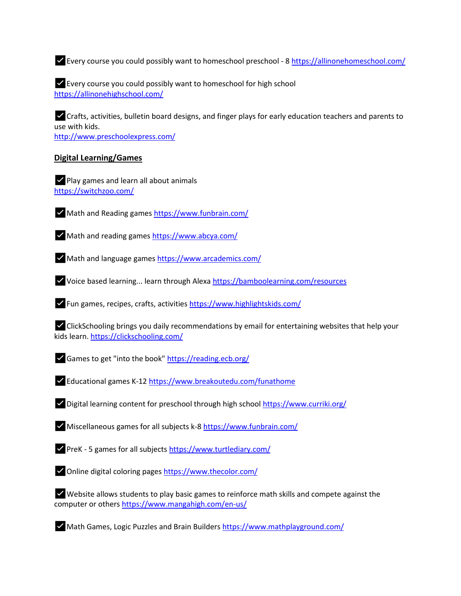✅Every course you could possibly want to homeschool preschool - 8 [https://allinonehomeschool.com/](https://l.facebook.com/l.php?u=https%3A%2F%2Fallinonehomeschool.com%2F%3Ffbclid%3DIwAR2DnaUODgB5RuXxgqyOsIbq8NatMrbu0aXcWCuWxywRtoagRkmVfSM1TEs&h=AT1MzU2DT7x9MlCIM0s15xu-_OJSw1mdPjgxCi-LlsNaEZbAXKo96YlGgNHWrnfrsZ6SloeG3E6G09Aa2CD1i2C6nHMV-FQss2YcarZkJ5yTdOX1n9mGw6RLFsTajfsXIj3c6WnsAeVd1GKDOw-EVjIgcYMBWeFdartFUg)

✅Every course you could possibly want to homeschool for high school [https://allinonehighschool.com/](https://l.facebook.com/l.php?u=https%3A%2F%2Fallinonehighschool.com%2F%3Ffbclid%3DIwAR1tuXoli2DK3oslHmC0Jd0ISUkP6CuUO-VmX86w5fIMr1I1Qx8G9fVI-7k&h=AT0j-X0Ww0JmfnDxBrgKqZJhZxsd3CKcKrNhL_Z346cbH25as6GnE5q1Ig5AVXrSJ2lmsIY7ljSdnODelBNk-l1zMmzR_FCi1BvWJO72fQgWlsITF-hz4j75SAZAbU0qCq0PDz7U7nuK_DijICurAMn0gqWQ0qK-S-i2Wg)

✅Crafts, activities, bulletin board designs, and finger plays for early education teachers and parents to use with kids. [http://www.preschoolexpress.com/](https://l.facebook.com/l.php?u=http%3A%2F%2Fwww.preschoolexpress.com%2F%3Ffbclid%3DIwAR1il7ul4N26xq8toq4zoZSV8F6Lu1XQQ-3bh74a-Zk8I7U4u1thSJ5ARk4&h=AT2sctKvVI9J4ezj9rq_10ZG646eM-iyD6R8nPSEGl0ygO9v0ZvxZkecbMTZSDM1izoyY5QWZ_mZh2yytVwxOisX55Ebc-DEKMPte9G3c0TywbXKXCGZLaOpAOLSEE4GREV7BMxbDc1ERMKkY3cUP6zTFoqzgQ3gO1mYnw)

#### **Digital Learning/Games**

✅Play games and learn all about animals [https://switchzoo.com/](https://switchzoo.com/?fbclid=IwAR0fja_31ZnhNq3twypZnSmOah8tNOs9zIB4-v31HKHZSK21dkJwCthrjeo)

✅Math and Reading games [https://www.funbrain.com/](https://l.facebook.com/l.php?u=https%3A%2F%2Fwww.funbrain.com%2F%3Ffbclid%3DIwAR1wOyRYQOKFIOJfmyG-agth7kxULvhP85s60-kpKPSt4JT4sawEqdZQVeo&h=AT0bdK9tZssXYGRMGYO0N8lksXYLv2xEMOXlVEStnDRFjee7ehAaxR9PQM8cZJVNJmpOhwkwtZiF5O4pmC7ZHbaaEXjPKDjBJ2bjqSWxHk7_VSLlg4EmUFdrJ_MmaTfHEYU9wGW83eqmzTTkB3aJTAePjuIJq1M0zaiusg)

✅Math and reading games [https://www.abcya.com/](https://l.facebook.com/l.php?u=https%3A%2F%2Fwww.abcya.com%2F%3Ffbclid%3DIwAR3XBBjPaUpqoxfBcPeXyXXRqNuW60KJRVtZeaA9bpqzJak2PRergjaSRlw&h=AT0OsES08R9cPMapfq28jXqxiQheHZXJInwF1iv1UIIE0VlqQ92JLP1aqD9_hDxQZt4Olz36XC_pP80TbLkkBBodN--Xdr581-mHhEt-YPHwXJaVfpx4wR-Ro5On1zNOVpYs4rutVyjCCuI-EGiAUse3pnFZIqO4eoV9uA)

✅Math and language games [https://www.arcademics.com/](https://l.facebook.com/l.php?u=https%3A%2F%2Fwww.arcademics.com%2F%3Ffbclid%3DIwAR0rrScrzTtP8itHkauAbuDAckQiMlp12deMiyRPFlw5n7e4y6RUaNJtl_E&h=AT0OkeNKhe4Zp62k6hyKLXFJfycE3WRUhUUWcKDXWwB0ZjeNYyJ-4qBoVENtbPgpEOFh9rwmr-Dyvayz2Oo_FNOBZbPpHIGGK_C0s-OAuj3Ls08MbVyOP85pjLlFFMaYnMFzESaL-9aso5jO5i4gEdg-RyAYzpsY-95zxg)

✅Voice based learning... learn through Alex[a https://bamboolearning.com/resources](https://l.facebook.com/l.php?u=https%3A%2F%2Fbamboolearning.com%2Fresources%3Ffbclid%3DIwAR0i_OToRk9_WrMEyb2Nurb_Bk0Awp7EHV5lo1jFvhY1qvsE97iUEEjpodc&h=AT0DxufICUzKR5zyXt89mLyFFyMFe_NKqogPgIY52SOziScvfhyUVwsZsIpRC1pd23qFdclraf-3Jxc4aYhyTMikGplt1byQNZn2eVcXTLhLgnhBiV_KiHiZSdNIDqFuSzlGzCfq4OgMTnqCVIymn8_2Zb3nQ71Ms38Wtw)

✅Fun games, recipes, crafts, activitie[s https://www.highlightskids.com/](https://l.facebook.com/l.php?u=https%3A%2F%2Fwww.highlightskids.com%2F%3Ffbclid%3DIwAR0oSGRz4KaJfw01sJ8hCNGwRl0sXMzzEpvg-JEKz3pnx8KMXEE2ahcF15o&h=AT1pJxb-emSVExlfmuYG3bz7VUsn8aK7yPZqNNn72Pj-fxi7Lez79yLDZmHFLQmWIchULduvc04ZxfwlIVyUhqRketgMv-8ojQFqcWQPMqWCSvH2zT_mFll5Yy_E0KkvM3A4zR9QsJFRs90ARM4cuNQcHVJwzepDl_1cLQ)

✅ClickSchooling brings you daily recommendations by email for entertaining websites that help your kids learn. [https://clickschooling.com/](https://l.facebook.com/l.php?u=https%3A%2F%2Fclickschooling.com%2F%3Ffbclid%3DIwAR0sY2yGVpKDmKN4QaDMHA6JBqEbhWyNbEaZuXtsn7z_iEuwf6Dojc0bKdg&h=AT2G0TofoLppaZqWHIX2ZIsjBwQy2_HQplUkHt9wCNQ27cLWliz1BFr6nqGeJhabJIqijbbfUKX49nN3GqO_gYghsxhB-Y6qjyrgrJ1yxLWTtNlk13tKzqtgMhfMG9PwkbaLmj0MvjCmhTracvYZdaOq5DBzBMYe0RDZNw)

✅Games to get "into the book" [https://reading.ecb.org/](https://l.facebook.com/l.php?u=https%3A%2F%2Freading.ecb.org%2F%3Ffbclid%3DIwAR1ZGy5zoYZUKxm38OUM6XqKllWrIpuicGsqL-BgO57VLcuC_8zP1FqhtSU&h=AT206Rwtpqw8e31vHDLVIHDA5ts31wtSYIHJCcEC8MNhfQdBeddXqsRHu8JsjX3EXip-xUqGa_Yw_dh9ea-ATLhumgWL9KdVuSGrZXHSrt88e6k3n7APDCG-YMfgaV-Mo8GwK3bxnTzk6HRIuHtlEf7_zqU4ku_8jf3Q0w)

✅Educational games K-1[2 https://www.breakoutedu.com/funathome](https://l.facebook.com/l.php?u=https%3A%2F%2Fwww.breakoutedu.com%2Ffunathome%3Ffbclid%3DIwAR1d9JscXCEr2Yt_V0zrGu0i0juaKhlieW0FXx7ifQ1uI5xf-Yn4ctJKOCQ&h=AT3fWp6FfnFDvmxqNdvplveu1PSzX9Nbe12RIm_4SxoaPfURGtF3lpFzNbtYyxi9iDcXZQrBPKtMzD36K8ErhbhNuF2t2KQfl-cCkCOU_ZHFmCyr6q0hYjiXI46Jgunq1kMn9td7WDL7sXl96Fof9yeqEqfLSiWR0n_4UA)

✅Digital learning content for preschool through high school [https://www.curriki.org/](https://l.facebook.com/l.php?u=https%3A%2F%2Fwww.curriki.org%2F%3Ffbclid%3DIwAR3QWQ3JLcACNZkKBG4OCF4bxrwTYZ8YntfZXVUF6Xr5FetCFKo9GSR55g0&h=AT1sf-oZxBqcExtYHdhuWptvdZIMMrOA84vIEWQdyg1L4joXIBeOd45qCsamhJ4c3FbuOts0XyM_15EGeyXKbE6-X9XhXhZ2-mkA6TQe7C3-H3Avil5Iv_-qIPd7ev839XP0bE5wY5qcPeP6kl7bc8uUR9lh8rOPzZogxw)

✅Miscellaneous games for all subjects k-8 [https://www.funbrain.com/](https://l.facebook.com/l.php?u=https%3A%2F%2Fwww.funbrain.com%2F%3Ffbclid%3DIwAR2JyGqojhy_Svd9gozAeU7Yn10HlOSC2zjXOJYg321i-JoMtr37zyfiCW0&h=AT0f1JshIvX8etWJ2nivx4If5Dbtx9O1muOA8dVOwjsjHeoyiMJMT1KpP1anpuKbMJEKxGXnrUcA1pFW4mCr8ujjwAW29HEMG86Ijg4zpA8kwUPJe-2cSAbB-ZamyrcAheJ4Oo0syHvNtG5wcLIcsj8HKNFlM23pScH4uw)

✅PreK - 5 games for all subject[s https://www.turtlediary.com/](https://l.facebook.com/l.php?u=https%3A%2F%2Fwww.turtlediary.com%2F%3Ffbclid%3DIwAR2aDNn9Dre58yNExImy7TXtZfV8zdNeGSbbQIEn40dahkCiewzFTKpuzPw&h=AT2ATDS8yChDMBlDbyyzOrZwXa_GkniaD64ZB60io_EQzxxKdd0ovr4xrqahJzJ6tUPQDJj2BCsWGKqtMIDs5weKU6fyi1KvVGsLXYtyV-ALKMgf1fn7pQzyZX-rMFzi-20InuCMLHK0Hm2wMC_vz6yiRE1_p8N7jwiHag)

✅Online digital coloring pages [https://www.thecolor.com/](https://l.facebook.com/l.php?u=https%3A%2F%2Fwww.thecolor.com%2F%3Ffbclid%3DIwAR2NHqDnN0Pp5HofkgSU-o13a1v1kxxq0btKL2ETphLY1KYlFKJ605DXxX4&h=AT2OTYeLaaLVGbSNezJJk6F7zefNo9gaLdWvxQyXIRWY_TSJcoVdhLFiri50UjVAz5UsogdzHXlhqKac8ehRsAhHj6Dui6loPACxDtnU8Tn-V06kUiDIZk2HTE56Mt-q4dUDF19uy5tDtvare90DBrx2uI1O8NiueErhNQ)

✅Website allows students to play basic games to reinforce math skills and compete against the computer or others [https://www.mangahigh.com/en-us/](https://l.facebook.com/l.php?u=https%3A%2F%2Fwww.mangahigh.com%2Fen-us%2F%3Ffbclid%3DIwAR09iTrb6P3a4XY8CZfXvOKrP-wQr74qbbMtSwHvTQHXhKoJEzm7qQI-ycI&h=AT0Be4mGSvYiOnRf7tRueFh8DXV6M2H8YNDIa2B5KLGBy327Q1YCw1538eBMRsk3M801LCxplz0wuVx49qVpDIE5fu8ITzylOB0gtCFWU_0YgUZ5g50RRnyQzLlEIYT6Y6g9XbNWS37q_-FXPL7kshig7wzS-IPoPhqM2g)

✅Math Games, Logic Puzzles and Brain Builders [https://www.mathplayground.com/](https://l.facebook.com/l.php?u=https%3A%2F%2Fwww.mathplayground.com%2F%3Ffbclid%3DIwAR2nMgp1FqDYd9Dn03EZE9wQ53HOJr0e4WehSGgc-XiuM4F67lAthcCcolQ&h=AT2cseCV3dZaTxC8ff1LFQ9BcNWsejiBGIVbwiLyoKdwAzWs0u7-uVi7ts8MvoI4WQScY5STqPNIA-076xPzHSLr9SdetaNPV8BBGLPBFCw8rljBJpH0AkWG-BWb5UTZyl1p-qXbTbR48DvfYOtQFl4WxgK7-Y6dcl9YJg)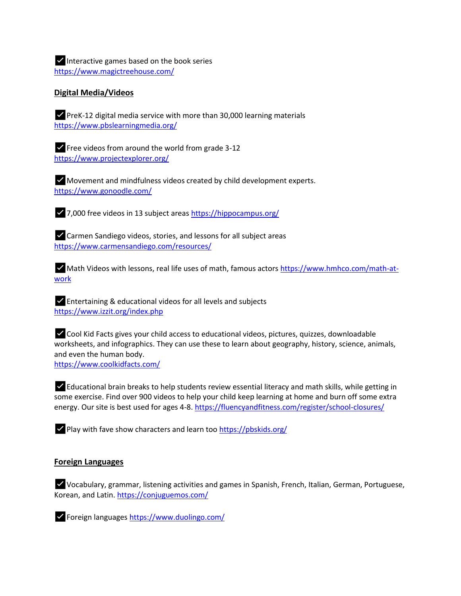$\vee$  Interactive games based on the book series [https://www.magictreehouse.com/](https://l.facebook.com/l.php?u=https%3A%2F%2Fwww.magictreehouse.com%2F%3Ffbclid%3DIwAR1c7v36MUSLYdmSQ05ZMc-7_7JSvuM14LBa4WmAoA5fxB0RAxmWXf6O3NY&h=AT3RzPC3KyOb2_7Wlt7jCPks22cTv4QcKYhfWNu0uYzfk5H-sgx-r12ljIvZlQHy7V2mkNEkfjrh3iduR107csx8UhkAVaV2XYckO_NZbf2URxYl_ITP3qcdHqfUwhkW1JV8q2OoHHngUh5IYBj2ybgaYls-rLBylE2u4w)

#### **Digital Media/Videos**

✅PreK-12 digital media service with more than 30,000 learning materials [https://www.pbslearningmedia.org/](https://l.facebook.com/l.php?u=https%3A%2F%2Fwww.pbslearningmedia.org%2F%3Ffbclid%3DIwAR2d5eNrXeEfvN_gwztrY9Xhjqj0CTLqzY8vd7ahAiHHl_B6LyXQAamshZ0&h=AT3yg_yg1l8sSf3m3-sIpQnCJFCFBr7dSKtm02faToNusVHbCXytqz4XebVE9ivDCusmzHujA9I2l1XcmhlXd6hGnXf3rmFUkRH6jfbD_8j5qvoycHs2OneiqnwKw_MXoamq1rclNFlKkPaoSZLfOYdUrGqU5_pQ2qeqBQ)

 $\blacktriangleright$  Free videos from around the world from grade 3-12 [https://www.projectexplorer.org/](https://www.projectexplorer.org/?fbclid=IwAR1gDPgHB9xo9wSXOgPtikwdHc8TtheQu27YHKSHd7EPW2zilV77C2oZ-R8)

✅Movement and mindfulness videos created by child development experts. [https://www.gonoodle.com/](https://l.facebook.com/l.php?u=https%3A%2F%2Fwww.gonoodle.com%2F%3Ffbclid%3DIwAR2Y5Irm9m7UhDux5-qerza0pO4g7qSnULj9tz9nQAKvenUVOGLrstKxpGY&h=AT0cumUpGEf9kwGgNTWk5U6CDEuZYm4ke6YVnNm3kOCrWrYtJygJ-4msdefF5muhRyk4N9pg6Wh4anmkI801mWB73lac7Zw3UHLUjRezU0cRsP9UOudkbAGo1QIwD7Z2uD2PIU7xJtCbNC0bYCCqSsP8LDElknpYWH3uNA)

✅7,000 free videos in 13 subject areas [https://hippocampus.org/](https://l.facebook.com/l.php?u=https%3A%2F%2Fhippocampus.org%2F%3Ffbclid%3DIwAR2paYniEvTHZYxjjKHLzydFL4kRWbVz5UQSvkJ5EaAT5pCy7nCCMp3S7Vc&h=AT3BAsO2z2-xQTeCd4flK_OB0bBuMzzd3gvBwv4llEVSsRi5rlPHVRV2by6E7-6XakOi1STTX8m9LwVYXn-8oAgVZYk31Mul10eVcj1nQo02_RDOkM8IciUIdO6bYpWdS8ZF25efojcUIacwUizgrl3DdpLiYGxEmZXXmw)

✅Carmen Sandiego videos, stories, and lessons for all subject areas [https://www.carmensandiego.com/resources/](https://l.facebook.com/l.php?u=https%3A%2F%2Fwww.carmensandiego.com%2Fresources%2F%3Ffbclid%3DIwAR27YxggryOYAjjEmT8ZHShr0eFxqBSySazBpfa4sznox5-HUCZHnSRnvhk&h=AT3bhMgKicLeYP_smbnyBY3dzjGTci33JmhVuXjLPBjDV_poW72ROE_BY9OsfHPvpwUpgaNEa3pNDaiMy4o47YAFdPMxcxoptJ_YN08RwnSUoY1xH6MEKuZvttsjLP2Zlg_4FEPezrN1BakVG5ZIqV5tjLuPa70NGQbZcw)

✅Math Videos with lessons, real life uses of math, famous actors [https://www.hmhco.com/math-at](https://l.facebook.com/l.php?u=https%3A%2F%2Fwww.hmhco.com%2Fmath-at-work%3Ffbclid%3DIwAR3whfFpIM-9eNMnvoZ5-vRVPJXqcIgfNX6ANpcfOl8Vtx4ciH0m2P0vWv0&h=AT09FLyvBQM6XNsOa4p3_qD9O4trMJqLguiX1Z_-8NjWrKswJwhEZK3CIT8QSIKMkDC6zNsU66LGceT2lsxget9LPrg61h7BYqlh_OJ56jSTvwqVz_6yqGR1j21Ym5HIxiNRI0Nd9N6NgwaQMXLmqEbKO1qNcv0y-_Wu_A)[work](https://l.facebook.com/l.php?u=https%3A%2F%2Fwww.hmhco.com%2Fmath-at-work%3Ffbclid%3DIwAR3whfFpIM-9eNMnvoZ5-vRVPJXqcIgfNX6ANpcfOl8Vtx4ciH0m2P0vWv0&h=AT09FLyvBQM6XNsOa4p3_qD9O4trMJqLguiX1Z_-8NjWrKswJwhEZK3CIT8QSIKMkDC6zNsU66LGceT2lsxget9LPrg61h7BYqlh_OJ56jSTvwqVz_6yqGR1j21Ym5HIxiNRI0Nd9N6NgwaQMXLmqEbKO1qNcv0y-_Wu_A)

✅Entertaining & educational videos for all levels and subjects [https://www.izzit.org/index.php](https://l.facebook.com/l.php?u=https%3A%2F%2Fwww.izzit.org%2Findex.php%3Ffbclid%3DIwAR3fwkpzuwxM_4zy1AGRrwbIf0T6V8Kze4QUq23ezXsEja8m8eGX5365FIY&h=AT2SM9K4AYiQqC8KfHe7qp3XO_oaUWSfeCkajL9ixs_EE-Yn0afs_ZQjkZy6neYG_lV2qBy4fvGdtUCIsSdX35m43gDdMX4x3AVAGnuVOcTivr_LQUg9r_NGv3lnuQc1LPqihynL3feTywoX9GKm0t-Vip0l7gQbxjPWZg)

✅Cool Kid Facts gives your child access to educational videos, pictures, quizzes, downloadable worksheets, and infographics. They can use these to learn about geography, history, science, animals, and even the human body.

[https://www.coolkidfacts.com/](https://l.facebook.com/l.php?u=https%3A%2F%2Fwww.coolkidfacts.com%2F%3Ffbclid%3DIwAR0b_7-VStoYcROpMq6ufKOHMacUbHn7HGytYOm7Olo83wkq_AiYd0d9cc0&h=AT0qypuYREw55d4Pf7LPqV2BOkZsodvRhLWT1M23lw6jMeCXkYyGjWAYvqVrWVoGv0xoeiPIBbsC85MpF-cVL3aiCHWlqGfspsY0c8bjuAXQ44-lv-nrX9o_F6FV0zm5rb-u5nWXkAsw9M5-mp4L1WISG_zC9ETFMIUZNw)

✅Educational brain breaks to help students review essential literacy and math skills, while getting in some exercise. Find over 900 videos to help your child keep learning at home and burn off some extra energy. Our site is best used for ages 4-8[. https://fluencyandfitness.com/register/school-closures/](https://l.facebook.com/l.php?u=https%3A%2F%2Ffluencyandfitness.com%2Fregister%2Fschool-closures%2F%3Ffbclid%3DIwAR0qarZVtcbmrwxbALumBqArGg0aZ2ymnx1DR7ZEGm_lQB04bW4GEJvnxk8&h=AT2VwAqQ4H6eR-Ej9LtJajXgevuO1090gkUheLIXEEDAfy6F1WkcB4FeeW8s-Y2chlgaf53sRJAEVOUOwk11v4s19ycstNxnfQgDozTMNik-yMH97OTt7oxb3577WkGc9b9lvWZi63s76EmQTbJGZKN-6O7h6jBa6nPP5A)

 $\triangledown$  Play with fave show characters and learn too [https://pbskids.org/](https://l.facebook.com/l.php?u=https%3A%2F%2Fpbskids.org%2F%3Ffbclid%3DIwAR0nOApb1-af3m219i2H42XMdfuZBduf5z3AFcUZzlW4oj5j0a4gmVivPzc&h=AT0_JVFRo0SyHImgP7RgAUx3n5mOcbRUdSACMMuDq_5-_djDYZ_xvtRQbnGlFBsu0wTifYWAhJ4x7KYRTRXOtAtPc3U42_TOIHiFatxckkVgiYiZVwO4AUQ5oW9hPzLVZUveiy5-05q1klxgsWAZuOP6ikXHGV0bhAPfwQ)

#### **Foreign Languages**

✅Vocabulary, grammar, listening activities and games in Spanish, French, Italian, German, Portuguese, Korean, and Latin[. https://conjuguemos.com/](https://l.facebook.com/l.php?u=https%3A%2F%2Fconjuguemos.com%2F%3Ffbclid%3DIwAR2gWSNgHDgd28KdbKBOu7IDwOvpjgD1NGux1vN2YO0xuO4lU6SEhPngeaA&h=AT0N_072GJ7jDT4GJKPTY0qAKvpuy1ERXkgJkCcYVj_Saubj3bI_-QjY3rLabm7SQk39tBTPaEUcV_q1w052Nm0VszCd7Zrhmk4QcV1hqdRUsvkcV8CH0WLRTe9D1B6czC1gLrVtW6S9HoJ8rsXjXdXFnOJEqZEKBC3ecg)

✅Foreign languages [https://www.duolingo.com/](https://l.facebook.com/l.php?u=https%3A%2F%2Fwww.duolingo.com%2F%3Ffbclid%3DIwAR1-idp3vjy6k_-sSiAWaKMHzyCcnFEA_JW71vb8CCkuTiB9Of7R0InKm0A&h=AT0O5h0xf7cOLD-Y8cqqsCX3YSHDXmoE7CvP903ELjIbeBGGtw_InUvAL6k2ylT0mtbSJDwCaqZNtfGwzZoBa7RTgzgaQFJT8DeVjsz0JBz_b3Qjq6vBe6XuPhr3TNJJbA-Equeq3rcmNS_fQyirLB3FpTTJMaR73JQVcQ)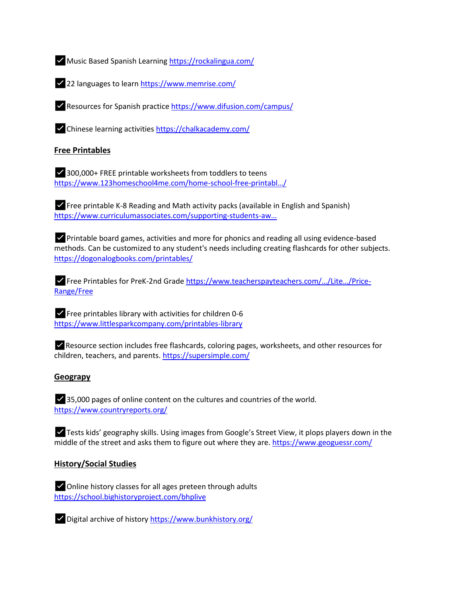✅Music Based Spanish Learning [https://rockalingua.com/](https://l.facebook.com/l.php?u=https%3A%2F%2Frockalingua.com%2F%3Ffbclid%3DIwAR2zOCk9efYjWeBmpsYz-RjHl9cIYd1Gwxvaf2YCduYjej4LAuErbH8YgFE&h=AT3LfXpm1ronHynd5nN4zlTMzvDuwmMynh3OcS2nQuRhuhydsLZTLldoEkme8MLqNggvLgM9oaVaHvJ6wpdleu12-oTW5lzcGe5gtFsOb_aq6qN5ZX3YKENa6XiSyZvgcgSk7JBBwdrL0QiRgGCoNO46Oq7Oc60BFQ61yQ)

✅22 languages to lear[n https://www.memrise.com/](https://l.facebook.com/l.php?u=https%3A%2F%2Fwww.memrise.com%2F%3Ffbclid%3DIwAR0b243Z_k8cVolp_mEpRWYc6iEpItiRDNfK0ZF4YM4zrDwvXyQYLU01NVk&h=AT2uLgh_JXbGN2PvtUq7TO_ZAhGYkPSlIG02acQH1AJyHclDicjRIHjboGa1-2vgyCHLP6-EFbJ-TQ5AgI5_y3DegSoonB471r5UEH3o_kv3phyPLbyotVMsO3qmHfVuu9z0cw5z2-Cikl5MiO_oaEXdsViX7LJExTH7OQ)

✅Resources for Spanish practic[e https://www.difusion.com/campus/](https://l.facebook.com/l.php?u=https%3A%2F%2Fwww.difusion.com%2Fcampus%2F%3Ffbclid%3DIwAR2V1ndesv5WcrZCF-aqPapRoduyya-3lKz8oH-k7s7d3yNSlJBmbFYXjP4&h=AT0Z5oSwA0LZwmU8qRrYemjoMC-f2liImV3QIGoQoEhWcI4CH7SZuamlTWdpJnj63Z3Cwa-46FYR3w0zYMzLBImrlTfhFpW8dHIjDsOXwPRs26joqcs_PP7q4C5aYh6zYImpfMXwSAPkxjKdjMggBeSoKNvK-2gCXFCJEQ)

✅Chinese learning activities [https://chalkacademy.com/](https://l.facebook.com/l.php?u=https%3A%2F%2Fchalkacademy.com%2F%3Ffbclid%3DIwAR0PTmqsBWMsE3zhgnEktETtrcFNEJ4peEjQ92EPkty4ZGBYk94ufCuf-Kc&h=AT1BUY3uXvLd4l7pV_5mCkCJA8ZgIsxAgH7R5omvP8uc2volUvDKIu14psX3O4GchWTzBYRRWDsJ2Uwwn8Fi5AzOETrYa4ekisg9hGRdB2nVGBaUbIEXhfWbZRxcu4sdvOMVJ4V4CgyM6LQ6pXyFlgyATNIY6e0vfj5aug)

### **Free Printables**

✅300,000+ FREE printable worksheets from toddlers to teens [https://www.123homeschool4me.com/home-school-free-](https://l.facebook.com/l.php?u=https%3A%2F%2Fwww.123homeschool4me.com%2Fhome-school-free-printables%2F%3Ffbclid%3DIwAR2hCzWcq_5dOvppqQXvymdUX_-anmgJkM_HtssSgVMhJXEtOcnY_CIloqs&h=AT30maDCQ4zaLprUmSO7lwiJU50GnPWesz8xEiUi5LWonzf3QT_F9xzz0Z9RSNzeCkwEo7WOY_neJSQISz4KZ6NAhEQuVgdoYd4WJ1nyX-Vj6-Vk6I91me5lV78mkG7_RO2dzkTtfEruSDYG9YvTwtzyNu9e3-Mi6muJsw)printabl…/

✅Free printable K-8 Reading and Math activity packs (available in English and Spanish) [https://www.curriculumassociates.com/supporting-students-](https://l.facebook.com/l.php?u=https%3A%2F%2Fwww.curriculumassociates.com%2Fsupporting-students-away-from-school%3Ffbclid%3DIwAR3FKKYLQ9K8oSbzcF8UCx0sYAY_a2yyM1gw8cszTAm3ELxcI9bB5xBtu2I&h=AT3iKEytrjbX1trfh3Y4YzBbZCSablcgo8uKAAz6qSHKYK1Eilr9QV6LxUwAotwKZLGj3eMJPrq7iRjBeZrQENw6cjM04PzVCcj1cPVXxY56SbwFYDZKVFe5T-oGHo0UY_JsEmity8OA01nYvlg7ygIw8MkpjGVgSUCsdw)aw…

✅Printable board games, activities and more for phonics and reading all using evidence-based methods. Can be customized to any student's needs including creating flashcards for other subjects. [https://dogonalogbooks.com/printables/](https://l.facebook.com/l.php?u=https%3A%2F%2Fdogonalogbooks.com%2Fprintables%2F%3Ffbclid%3DIwAR1y8IgEcnWifWx_OmIdTQHDVeFhwR1ZXSl-o4oyw6UdaLmnQp7QoDzQOis&h=AT2AMjSI93_pZGQhkQE8zDbLyLOSMP3GQP0njkoJYMMTpQBYy3W2387lrmx4Z8TLrBqZGcO911kUAaNQjzp2supInTkXMD8tVhXtl5szDwYdO9sh6NVp1monXB9qqCgdaNwHjOV5UtuAPZ96ZJALYI6OvseU273rWMykPw)

✅Free Printables for PreK-2nd Grade [https://www.teacherspayteachers.com/…/Lite…/Price](https://l.facebook.com/l.php?u=https%3A%2F%2Fwww.teacherspayteachers.com%2FStore%2FLiteracy-With-The-Littles%2FPrice-Range%2FFree%3Ffbclid%3DIwAR2C_ihNtqYHM95Czcd0_bC1s4mlZSghoHdycQkBc7A0ekbd9WrqNWyf13g&h=AT0ruRwEwgqW3KdJ9_in7Vj_VFkeZuK7KuA8owv1cV05c3HOsnyXmsGMnul76IcvILjWwjJRLlXKIWv4cE8KJ75gxisLQ1ZzOdPrImznq-ND3P3yQXW5-Y1b82-N2NMMO9rEFIOXK9YF1jH6lpdv7A4Or68uiZHRdTyEqw)-[Range/Free](https://l.facebook.com/l.php?u=https%3A%2F%2Fwww.teacherspayteachers.com%2FStore%2FLiteracy-With-The-Littles%2FPrice-Range%2FFree%3Ffbclid%3DIwAR2C_ihNtqYHM95Czcd0_bC1s4mlZSghoHdycQkBc7A0ekbd9WrqNWyf13g&h=AT0ruRwEwgqW3KdJ9_in7Vj_VFkeZuK7KuA8owv1cV05c3HOsnyXmsGMnul76IcvILjWwjJRLlXKIWv4cE8KJ75gxisLQ1ZzOdPrImznq-ND3P3yQXW5-Y1b82-N2NMMO9rEFIOXK9YF1jH6lpdv7A4Or68uiZHRdTyEqw)

 $\blacktriangleright$  Free printables library with activities for children 0-6 [https://www.littlesparkcompany.com/printables-library](https://l.facebook.com/l.php?u=https%3A%2F%2Fwww.littlesparkcompany.com%2Fprintables-library%3Ffbclid%3DIwAR0UrvWDr6PWu7LYyOrcLsrNZF_dRhB9gXnuXC22TfQilU1OMlLfOMiN9f8&h=AT0Yv9LYntkejg-XUirTVDzX_hD98iUDwTGMb1gaqgdMsLrrrZ8DWtNvp3tmWvkRbnVpjQ8TuTW4rQcqFoHmwtUu7hHrkHm8yG20MzFv4kU2s05ikl0g_Iv0ir3XVjhQlg2Y2zW5f3JFPC_I95ddZFsQvNzszOnbyBmNEA)

✅Resource section includes free flashcards, coloring pages, worksheets, and other resources for children, teachers, and parents. [https://supersimple.com/](https://l.facebook.com/l.php?u=https%3A%2F%2Fsupersimple.com%2F%3Ffbclid%3DIwAR0yOa0DXEsaiM4OGKJz4wZQbhvwygYI6-UgkIAv2HRxTTOv-Lt_oWz08B0&h=AT2O8TPFAkczfyFKGSgBUBNqfIlG_BdEqmx4SG-IKjD2wI55J58SPDlZiWzMrLmIpEe0EzjUSfZ8r_UwXJeIW5kEbU_uK7-JPmU3QOBrppX7WVO9KJTreEJHdYoHxWuVks2Jh4num8GdMQhVhl8VCMZI86QL3TUv3bHYXw)

#### **Geograpy**

✅35,000 pages of online content on the cultures and countries of the world. [https://www.countryreports.org/](https://l.facebook.com/l.php?u=https%3A%2F%2Fwww.countryreports.org%2F%3Ffbclid%3DIwAR0ElSWcCW-925r7zetWgZLNoK4GUdL2hb4HUns6xJVi-45qloCq4VwAQ_c&h=AT0N4foGgu7kiAFmNQoYnm6S_4L9GVdWIY8lZ3-ZDWTeKOSdBEch5v-YdorPtLUinRIuA4Av-EcV7BfwT5FnLsmkcNTfLjSlrFJk8AuzkQUPPBHONb1Tp5dXP3c1Mw0BYVTLFBq_vpqBN-pMVt32uA4KMGzEV3K5MXcqyA)

✅Tests kids' geography skills. Using images from Google's Street View, it plops players down in the middle of the street and asks them to figure out where they are. [https://www.geoguessr.com/](https://l.facebook.com/l.php?u=https%3A%2F%2Fwww.geoguessr.com%2F%3Ffbclid%3DIwAR0y5qH4jyPN3ewgo8ihcx8H4k8gyjig2-v3_pkq2JCZDj1XlwUguQ67KwM&h=AT0TXbwv3oP6PofRQeI0DF9qq2SLYJLsDgIo3eYbCRCYehp_rAX6v-FqnTGPI-2sJd-ayu9pIFh1MQ_rbUwTKGoSSM3s5VRo8AN4rev2gT5U6BeC0GyjfCgK-la6VNicmg0C5zj1hccJ3-mtHZ0HTs4EwQ7uJZhAlnkpeQ)

#### **History/Social Studies**

✅Online history classes for all ages preteen through adults [https://school.bighistoryproject.com/bhplive](https://l.facebook.com/l.php?u=https%3A%2F%2Fschool.bighistoryproject.com%2Fbhplive%3Ffbclid%3DIwAR2B8wX_Xo8lhpOsTROvN1vLmLD5sfr5Ew5d35UcLeCpoDl-7m90rmVrATk&h=AT2qXPtG6N8i3qBboSrbcqM2tD1j_BunmLbZFX60W5M_yHkDqGDWS7OVqoYNYXQkhJ5M_J3Nqx4q8FDBOKmllhVzAw4i0hnrkcgVA-Wk5RcTSGiJDcmF4s8WIOKLXpXDPGh8pAEQzhCZrDJ53CuMhwnLgRs88E7FzOEIwQ)



✅Digital archive of histor[y https://www.bunkhistory.org/](https://l.facebook.com/l.php?u=https%3A%2F%2Fwww.bunkhistory.org%2F%3Ffbclid%3DIwAR11hL8AiAKJVHtQ8QqoZKw8oIgQudCD7Nod165cfiaZ2b4T3qmUqrHhCWs&h=AT2gm24Wu58v8dy8weUgiQuF3fiLHYia-Y6_RWu6hBnrZhlHfBdeMTuJK0OjAtIpKwtSl264TdboxWKhRPExF9ooyCsSbyK4tTW_sQYaYGPOl6ynUzbUmJts_uzHz4Z4o4d2ARYwoZ6ruzUyWUL_0JnTL0YtQ3_1E0BWdA)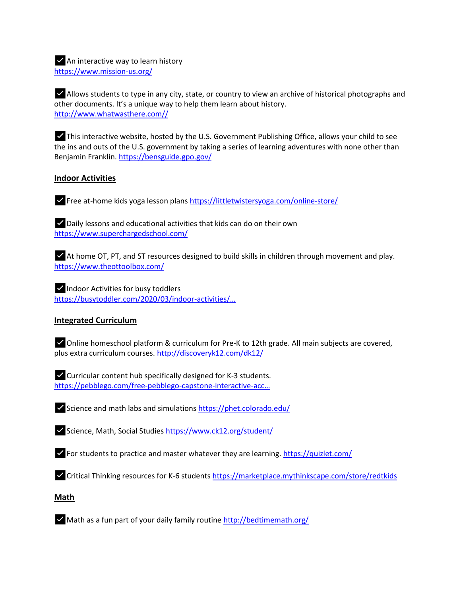$\triangleright$  An interactive way to learn history [https://www.mission-us.org/](https://l.facebook.com/l.php?u=https%3A%2F%2Fwww.mission-us.org%2F%3Ffbclid%3DIwAR15PrPsoTWwblnqSeU8j-Mj1_CWNk3Z-AUfuiTZpcZqQouj45IO3fIKYL0&h=AT3VjN9yNeHHURvjM037LCfoXgrZXW0IweHV47iWCTbVaPk5F_YYQGin9CtVgj7dbEyx_xIFGaKMpL-N0yRlIRLf8vsSSzbJHMYc-xxI1teBcaQWFIJhm77Em-MF7_7HAH8uuVTHem-nqGrTQ8CCzo4IzyHeNF1XhnTFDw)

✅Allows students to type in any city, state, or country to view an archive of historical photographs and other documents. It's a unique way to help them learn about history. [http://www.whatwasthere.com//](https://l.facebook.com/l.php?u=http%3A%2F%2Fwww.whatwasthere.com%2F%3Ffbclid%3DIwAR2sy79maLs3JExx3mLcG30KmNIqpWMhZq6z3HYjlEl60SNSWb-YF2VUn7I&h=AT1Ru19VFMm87g0M0c2fM4s2xNd1yUKoJ6sdo2NnTkaMqN_jfsIVrM3U0JH0wPHPJR9v201PPSMhYYeJVfrhq5JiieBtSur3o137kIPMCwdbAvh59_pr--_7JbYQmzxznmXwANw9rXiY2s5gme6Loi-lMs_RXLuxeMS28A)

✅This interactive website, hosted by the U.S. Government Publishing Office, allows your child to see the ins and outs of the U.S. government by taking a series of learning adventures with none other than Benjamin Franklin[. https://bensguide.gpo.gov/](https://l.facebook.com/l.php?u=https%3A%2F%2Fbensguide.gpo.gov%2F%3Ffbclid%3DIwAR3kC2ltHcCbPiwNOTNDx3HiBT3Ned1MDBXrx9xUC-oiHn8AYA2g_7niPzw&h=AT2_zkio8XLgxO66Y2Cr5eGFUv1_RwUtzlzyeQdLRGzhrdB7QIGO_7VmwJxoNspUwmd7slqF0eHDJd8_lJX-G2yzURGW3wv7CVgq9z_NZC-SUBySCnj017XcKsN1aWaAOrIPozBLdg5cpSF10vlCMXiqCwblBF6rIwCW2g)

## **Indoor Activities**

✅Free at-home kids yoga lesson plans [https://littletwistersyoga.com/online-store/](https://l.facebook.com/l.php?u=https%3A%2F%2Flittletwistersyoga.com%2Fonline-store%2F%3Ffbclid%3DIwAR1Hj6JcUz_BBGPhmJ4f-Vdf83jfmbWjBAmAzAWRHwjaHD1SLDKqCke5_YM&h=AT0ZDlLznZ7UZUBWOkNuh2SFEWPgDpCVbUH69Q8nmgK-4G2YLaODgVN7RRK-m_sjRkH9njcyxbebuxkENsAg0bZ3HzKp-HQZyLfOXDVQSD7XzVVwJj9bcsVLQyhMpsT_1pnFKKM-gMUQbCr29aftlF-Xfq79WIF_OliZkA)

✅Daily lessons and educational activities that kids can do on their own [https://www.superchargedschool.com/](https://l.facebook.com/l.php?u=https%3A%2F%2Fwww.superchargedschool.com%2F%3Ffbclid%3DIwAR3adCL_sOdMpLRHh2HRHknS7guRF-O83KjOyp9otzz76dHT2F4Ah70oxfs&h=AT0-OfvguUT5SiPZZhQXmNwnijC8grMS8xdS56inG_rkXQuejC_oaUDTnG7hGDkgBHdbRXT-O8f3IhaujL29DSSeTHN_A4f33ILmO1CB8ZtJD23APIZxJ0_fPPdiBzQqvHQYUljBP4vzY7Dsa87S7BmcuQJK1rmUIt_Q7w)

✅At home OT, PT, and ST resources designed to build skills in children through movement and play. [https://www.theottoolbox.com/](https://l.facebook.com/l.php?u=https%3A%2F%2Fwww.theottoolbox.com%2F%3Ffbclid%3DIwAR1TxWCVaH2VZlgaT1tQTRENlIxs_8wG167OwW5cqW2ulumBrKdL991r_NA&h=AT0HWO2gCv6Y2A7WevkdUf6tMwpLt5FWbAhA-m8F_OewwXzcbabgmHaVUI2D7-6qtoU7n-nGpV_r1w02lwV9RVrYb8ORmsl481rCGDAT9XcDC0xI2ohd_mAbS7r76S1D2cgbxGEbVl_S1GY9pQ4g7WeijlRYtZ0F6bB2CA)

✅Indoor Activities for busy toddlers [https://busytoddler.com/2020/03/indoor-](https://busytoddler.com/2020/03/indoor-activities/?fbclid=IwAR1Bn2ZR5bscz2aFGEUGWjS5lQ6VscKp-nBEsV-BIeiOz7fg7JxI_fDspdA)activities/…

# **Integrated Curriculum**

✅Online homeschool platform & curriculum for Pre-K to 12th grade. All main subjects are covered, plus extra curriculum courses[. http://discoveryk12.com/dk12/](https://l.facebook.com/l.php?u=http%3A%2F%2Fdiscoveryk12.com%2Fdk12%2F%3Ffbclid%3DIwAR1OQV4ZyDidZwfFTwTYXefwLbXtfEVXuyIEDAOw0XIcEJpuW8qCDjDDNv0&h=AT1nMWX3jJrgp6wBMe2Ou4R7ac0lZDk37t3aoj-YiFae2y6391fSzH6auX-xlTCfPERxNcdJX7lZo_8mczcAMnlxx4m-qA3LkXqb1Q215Fr13c02oX7ASb4Z3JhbwNSmmhFuPgdUQ7-ckL1yf_630hmsL8i6cu4LikUkaQ)

✅Curricular content hub specifically designed for K-3 students. [https://pebblego.com/free-pebblego-capstone-interactive-](https://l.facebook.com/l.php?u=https%3A%2F%2Fpebblego.com%2Ffree-pebblego-capstone-interactive-access-school-closures%3Ffbclid%3DIwAR1cXmI6Li9-J5gRogVBD68AiI2PFt2YH0ExgX12LiKjqVL9Bsr8tNJHzzg&h=AT1ecPXoSzmjHcgU63CPXlz8S7P0hbOSj1KQyy9IvYuktiyvVc3YHjB8BUo0p3f6lmtm-besi__2yLWu--bDP4AwBa3f4YyUbAnGW1ZYUwvC7szdO5MAH1Obgrc_vvI0po6FKJMDO2rzEksDIOBUGiuO0c-db_tlNx8WjA)acc…

✅Science and math labs and simulations [https://phet.colorado.edu/](https://l.facebook.com/l.php?u=https%3A%2F%2Fphet.colorado.edu%2F%3Ffbclid%3DIwAR0Z64q7bXyV42tpoG9Sp2wzFW4lh9v2EkfK9fkl2My_iTVw7IunsR13UmU&h=AT1ai157FTfFvmqauNxVhKbbzIlm_Owt1ugbQoanO5U8C9he9nFS8fxK_wT7NVHw5oVYXiXp_11izp_e1GHDf8z_uBfV9bsYARHLYqU2fB5_rIFR0wOrGna4ifeOvZKu5BtLDrj2GrG-96Eu0F-xff0pDcL0m6_65af4Ig)

✅Science, Math, Social Studies [https://www.ck12.org/student/](https://l.facebook.com/l.php?u=https%3A%2F%2Fwww.ck12.org%2Fstudent%2F%3Ffbclid%3DIwAR1EFXMEpPORYGXY5zL51hxTO2Hu8utPeGswm_BGwsHwXKxW-TLkDZ8UQJo&h=AT2OaXHE_XdM4hnl662fqlRNZs8MBu_pNuwyqLjzcMwVYBmROKwokmU08EwQsnOWPTjsZPscHEGMOMnlpQCsNixH14FWME5yEviGkKap4gRTvyCK5HZFP0yX-PNNxfQwhVKV2XVSMoZq23imOfUrFF2T_MXeUgK8Y3JOfg)

 $\blacktriangleright$  For students to practice and master whatever they are learning. [https://quizlet.com/](https://l.facebook.com/l.php?u=https%3A%2F%2Fquizlet.com%2F%3Ffbclid%3DIwAR3jNsHw9eQ6dzke33I3j1d1QRhL3tdSW--fIeO7LYdTn_S-phH_6a4HKTY&h=AT0GXCLwjV9IUyXbFKhefzvmT86Y6b4EpwCAaqWMybPz-wufH3yWf-rABoet8geMh38HHghUQNpF5GIoG-FRT5oR15qy6NQbkB9OwhQ8tOkwkJYibFfNTCwoAZ1PNA-qOYWsJB2oo1rlRzTnCZifummc5PfHyzsTrNxc5Q)

✅Critical Thinking resources for K-6 students [https://marketplace.mythinkscape.com/store/redtkids](https://l.facebook.com/l.php?u=https%3A%2F%2Fmarketplace.mythinkscape.com%2Fstore%2Fredtkids%3Ffbclid%3DIwAR3CpjcLxgkj7DMP1gHz9H8dSKLEgo5mp95dqbOb-xAwMcDtOv-wH37XCW0&h=AT1p7VRrVqivtGHUWoXG3LnJ5ZCyWBrHURJDuMr8o6ZbIQU6OpkbN1Tr2C1SjJ7Crm0UrHgeUhsf57uOZOkyMjLoXK0c6eP-CrEK3BpqdqLM55e_ooJBWOCsuI01A_BslKTv_S5Qm8cxWx2mwCFKCjZELGT-xmFHb-CnOg)

### **Math**

 $\blacktriangleright$  Math as a fun part of your daily family routin[e http://bedtimemath.org/](https://l.facebook.com/l.php?u=http%3A%2F%2Fbedtimemath.org%2F%3Ffbclid%3DIwAR2A7FlSOwzw0JGbyh8jbqsJ5TvdbALLDiMghWaHhx8HMLfZV4Uxt_xDOek&h=AT21cv352X_oaTBUX_JaR5NO1M5MHPPvsYlpHy8D1vliooU7meADAeVu5IurIbDnwJSCNVRBREba-32SbcM2Jd9PW27U4MiIWX8WQ0QXIu04MBKtKPLDeeKhfKRl0cKb6y4lGQKgexxBSr7fSRnz67iugO6z2Cj0MK9nlg)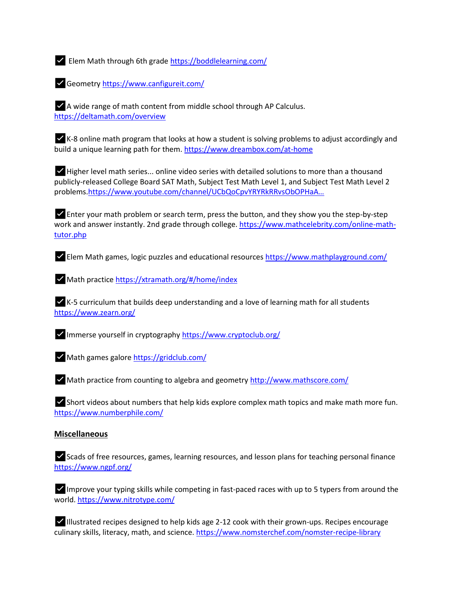✅Elem Math through 6th grade [https://boddlelearning.com/](https://l.facebook.com/l.php?u=https%3A%2F%2Fboddlelearning.com%2F%3Ffbclid%3DIwAR1qfJhtAl697Nnvhb6nRtyHyU5aJd_Gd3r_L4VS6uj-mItPZC9_nphsA7A&h=AT3V5k9HRViGqi84qYsruchR11sptRXMV_3VDbBkBnCsyUTEFxEUusp5CYHmkQhHRUhmiq46S3QjwaM1p2DHdsLjVJsIh5e163kWhpLvelmZS_lFBuXu4zWwZCPXteeGDNH0VXgU_OWm0AxEo5owfPM5TBsX8i2dnqE4ag)

✅Geometry [https://www.canfigureit.com/](https://l.facebook.com/l.php?u=https%3A%2F%2Fwww.canfigureit.com%2F%3Ffbclid%3DIwAR1yp5boOSHARvjEb9B7-OnOU4pDLq3vlQpWvLWCfIASEA9i5eJd3Mx3suQ&h=AT2GRr2-98J4ndaG1_Xm8adAnnamyAiZlcz4Kqb9x12e0VtGAuUfMjt8qpVzJEyvnyrVCQ38N2vjh7nS7UTvVpmtHgmzxGiW1LRY1KNuJgKnbrQrP_BI42dTpYog-xFzt3Hk1Ak9p_dHSMgNns-QtWoS9sLjqMXWFOMdIA)

✅A wide range of math content from middle school through AP Calculus. [https://deltamath.com/overview](https://l.facebook.com/l.php?u=https%3A%2F%2Fdeltamath.com%2Foverview%3Ffbclid%3DIwAR0Ixej1DL_AyPjV_AX3B0xNyvcwJbYW7nmF9s02y7wKK_2eUQDxUKSxS2c&h=AT32fmBtEAbZFdEnG5-Vjo97FOpO5Gg9eqkNM5P6Rr411-1eA5KRvAOVyCK4rBSIEWc3UvpmsiDwphyfigwJz_J7hGEOr_sR7NgIjVb3yA6DUC8bmbDwQr3gj12yww1ekH6xeV3ZvjXyPhBUfIECzhFWu4CkYB8Py8RPiw)

✅K-8 online math program that looks at how a student is solving problems to adjust accordingly and build a unique learning path for them[. https://www.dreambox.com/at-home](https://l.facebook.com/l.php?u=https%3A%2F%2Fwww.dreambox.com%2Fat-home%3Ffbclid%3DIwAR1kKESVW4wUPgWCNd3ie7l2zyZ6CrGJoM-vmRM401e8AWgWYY4EvOhHF9Q&h=AT1PK3lQEiGiNjauu7Xu6moQetjyVKRcfxEXui0j5yYMP6_XqProipab_Fm_55IaZgPfGEGRap1JAY6cBsGK4opGb7UPL1BOR_9y1A0vMmSaYfhd9dRTR-etGQYauMSjYgCJbB8Q9AW5QObCHilt_S727-RUsHuh3qfpMg)

✅Higher level math series... online video series with detailed solutions to more than a thousand publicly-released College Board SAT Math, Subject Test Math Level 1, and Subject Test Math Level 2 problems.[https://www.youtube.com/channel/UCbQoCpvYRYRkRRvsObOPHaA…](https://l.facebook.com/l.php?u=https%3A%2F%2Fwww.youtube.com%2Fchannel%2FUCbQoCpvYRYRkRRvsObOPHaA%3Freload%3D9%26fbclid%3DIwAR1-5QgCs2-L_sJHaKk1XcJcuN1Cso655lU_LYYKkeH27fnsOMRAsG3_zHM&h=AT2Kt19YrnwxgeQhKUT-rV4Owp49Ds53asi3Y_kzPSO1UivYiDJPMxYBQMoH0bGuIRjY5YZxHNLk1U5XEwY09wvbMYjx8yXh2rXSrI2998pEweis-JSfcISOmc2AP1D_RlSDpWDt60YQBmb_PdJAXJfDaMaLm3fEfVbchw)

✅Enter your math problem or search term, press the button, and they show you the step-by-step work and answer instantly. 2nd grade through college. [https://www.mathcelebrity.com/online-math](https://l.facebook.com/l.php?u=https%3A%2F%2Fwww.mathcelebrity.com%2Fonline-math-tutor.php%3Ffbclid%3DIwAR3w4hVZcO9sUjoHUPnvWsFleY3ZgyPjOgb09FdX5-533PoKs7zWcgWjznc&h=AT1QJNYlKtzt1MzXgs5LZSL8fqf_Ki2C3K6nBWLkyvj9wVQtKkkD1myVdm3vT0FWZlrzYg0v3T7Q71HBqfHiOygywjlilCGB7-5i8AjUmTkh_ZQQYYCj0Hy4KbWpZn3IttOkYEnclu-6umm4HsdIKJsj80jqYAjsDGxlkA)[tutor.php](https://l.facebook.com/l.php?u=https%3A%2F%2Fwww.mathcelebrity.com%2Fonline-math-tutor.php%3Ffbclid%3DIwAR3w4hVZcO9sUjoHUPnvWsFleY3ZgyPjOgb09FdX5-533PoKs7zWcgWjznc&h=AT1QJNYlKtzt1MzXgs5LZSL8fqf_Ki2C3K6nBWLkyvj9wVQtKkkD1myVdm3vT0FWZlrzYg0v3T7Q71HBqfHiOygywjlilCGB7-5i8AjUmTkh_ZQQYYCj0Hy4KbWpZn3IttOkYEnclu-6umm4HsdIKJsj80jqYAjsDGxlkA)

✅Elem Math games, logic puzzles and educational resource[s https://www.mathplayground.com/](https://l.facebook.com/l.php?u=https%3A%2F%2Fwww.mathplayground.com%2F%3Ffbclid%3DIwAR0ZMBUs0Ec5k9_a8Zf0AM8Bl1N4-kQbofkxwoVBWg4asi-E6BJo55oOatc&h=AT0O2_jPU7J8SdeoRsxnJ76wURuaEIuZDmv07Cxk8F0PTGfweE5iMtwAFIb2Xzq3Sp6W0OErUfQCgpa2gXZK4tLVSj6OpxOgSdD2ufIGnkRbnEcmJofMBjHlu3IkzXqVs8XSqVz51svpnJ30Wmx09kQM9RsCQ97zFfgOtQ)

✅Math practic[e https://xtramath.org/#/home/index](https://l.facebook.com/l.php?u=https%3A%2F%2Fxtramath.org%2F%3Ffbclid%3DIwAR2mXJjhXYAO70_3V7S2NgvDJHCB4nyIz9RPMn8Un5w-I5bNXoI3jYZNr7c%23%2Fhome%2Findex&h=AT3E5ERIsoD6R4ihsoJoVavqfjmKVtgWog3ggVnR7lmX1uxb5TkpRdxt6AN3fKeXcOIpRi0AxQGkbDnqZPGvA3ykA96pdWtxMXUgqy9wyO7jkymixaPkL1d0oRwU_gu3TtXTLjqlnT3XZ7_A8k3Qb7kYvMwUQa_fbmyjlA)

✅K-5 curriculum that builds deep understanding and a love of learning math for all students [https://www.zearn.org/](https://l.facebook.com/l.php?u=https%3A%2F%2Fwww.zearn.org%2F%3Ffbclid%3DIwAR1p9fQIi9KHus4GNI4GANAhC1hbD9Ik4xPHVTfl6SLQatgST7slsB-1tHs&h=AT3MbhffXzDj4e3qmnuPQXRxDtbIThtSpaa74UtmBaM6eGFu5SaOb2u1cpECboBbVfGwbziWO5OAsrBbWMIdyaedGJkybnkdHAUGUBsTuw9JEwj4ekxK8lVOjiZPcRIH6BnSXaONNjGHQzBEQpVnbwHdMubzbVfl-eRQAQ)

✅Immerse yourself in cryptography [https://www.cryptoclub.org/](https://l.facebook.com/l.php?u=https%3A%2F%2Fwww.cryptoclub.org%2F%3Ffbclid%3DIwAR0ZOxVbFNvLbfI78apgU09Gscfc_Btrqinl3-XKCHFq5jBnBsTWEywmEIY&h=AT0XT1TPShsOl_4CibBo1p7aMz3ftMaSe6jDZ9SU-MBdYtwDikdCMKSxvQl9f8l5sQavmBIehWAQPCUC23u3KW_rbEOMR3KdP0OpiYBOlqDl5ZaoveFas_LYKJ7WbQAKoiTTP3oUhzIwgXy1eymooS7LATbj5S6s4ZgKzg)

✅Math games galore [https://gridclub.com/](https://l.facebook.com/l.php?u=https%3A%2F%2Fgridclub.com%2F%3Ffbclid%3DIwAR1ml4ebztUqFhR46pxtOQ83RVayAqciXJ-Ocv13X1u_gRqW3TMtvYCH96U&h=AT3pQTD1WHDNEISu2vIUVPXZH89tNKxzb0zXXB4uZRHBHnmeKS2LCIpSiwuo0nJZP9Y0ZwONUmPdW-2K9XQ6-4XAyBGwboWEgQqNCgqFwLrKm03FkUfK6Sx1l-5YqaeSzqopdFZYzW2HI-kNx2JDSdbqVsVGD31FV8rMgw)

✅Math practice from counting to algebra and geometry [http://www.mathscore.com/](https://l.facebook.com/l.php?u=http%3A%2F%2Fwww.mathscore.com%2F%3Ffbclid%3DIwAR1LSu90C__4OR-IHZdUZNsKyqWdWSrfI-qzo4Cp1FA9lGhgDW4_i0JznOo&h=AT0BRH5xnprFjiNPcRXBE957GGqpLnEO3FGgYUhhkj43fX9KMR-BVhVC8cKKlYBa2Qn-JUZq5l4glkriczhDWliB9Bdu4Xf17_uTx2-DwsZLLcseKIi24tcrRIt7nXRBxlpH6X_qi0VP6DGsgZr5ZKcH25WIOSSSzgeiZg)

 $\blacktriangleright$  Short videos about numbers that help kids explore complex math topics and make math more fun. [https://www.numberphile.com/](https://l.facebook.com/l.php?u=https%3A%2F%2Fwww.numberphile.com%2F%3Ffbclid%3DIwAR3GxkU78HtrlkByPlT3XZH6_vtZpXQfobQ3RUL38QCqtWWKTYzMAYPIfs8&h=AT1UOQVCUBrcBjXlvgZUkLwJOOXR6G6uaqqTBVLt5bXKOM3OSNPLNkpfGCaVOkH-k3J6uNxajJQR3sYiZkA-db2pxyhKZotmbdgH6roxD2RbPJW9zn_IhJ73kPVXc5RH1vnpC4ovrIVuLbkKaUkk1vG39b8UCkqciuyxyg)

#### **Miscellaneous**

✅Scads of free resources, games, learning resources, and lesson plans for teaching personal finance [https://www.ngpf.org/](https://l.facebook.com/l.php?u=https%3A%2F%2Fwww.ngpf.org%2F%3Ffbclid%3DIwAR0mQBvRJWLHcO6jOACcEl4GadUt71n9fCfBT1ZYCOHDVUMw7a8ARPr2tUs&h=AT2MpCORQY8TiRov_61ENV3ScAbjWNPl_o9gh4CXH9J90LSKbD_E9DdsE8jHtzOngGH0iL-_J7cqiQboltkc6f6wvIPXyJXk6WlPR5FKk7EJUKG3hOHl8KeV6wTODxHTmRSH3Mbj1v32tvfWIOyiPqcqj2RgWLyhQU-8yw)

✅Improve your typing skills while competing in fast-paced races with up to 5 typers from around the world. [https://www.nitrotype.com/](https://l.facebook.com/l.php?u=https%3A%2F%2Fwww.nitrotype.com%2F%3Ffbclid%3DIwAR2l0bNSuMxMEkcbYjYt-Jm42wA-0KN1FYNrwSGBzHyFMIlt_wiGbkV1lYQ&h=AT3iykDsNiG1dDhNviRuGJtKnZeralysnQH9TLzi_O_iosAjZV6ljOaSu9K22FwVFg4TmBakHy0HgVX0dfAfSyrI8osoqb47QpX-_aNsAuYgNFo0q2iWNrGpxItZQ_ffQa8DkZai8vi_weFPco2hLEgmkEgYimu9YW5dOg)

 $\blacktriangledown$  Illustrated recipes designed to help kids age 2-12 cook with their grown-ups. Recipes encourage culinary skills, literacy, math, and science[. https://www.nomsterchef.com/nomster-recipe-library](https://l.facebook.com/l.php?u=https%3A%2F%2Fwww.nomsterchef.com%2Fnomster-recipe-library%3Ffbclid%3DIwAR3QdjkGn1iU6_NP0CjYYysTk7GOI7CiekuIcmBBjUHqKBnKpdU_-j9awGI&h=AT0tJGG2KoUATZUhltkDKX8o_WMZIXAirz_J-FizAzj8zlXNzEpCAuEbvzDkGIjuVPzH8oMhyUqi1qpen7GGNVezslbOzkoSHR8YRsin2R2TBdm8furmyel6O-IyH_6iHAGBr7vFF1598Vpwvq4yFRk6DdcSU2vLXqfOrg)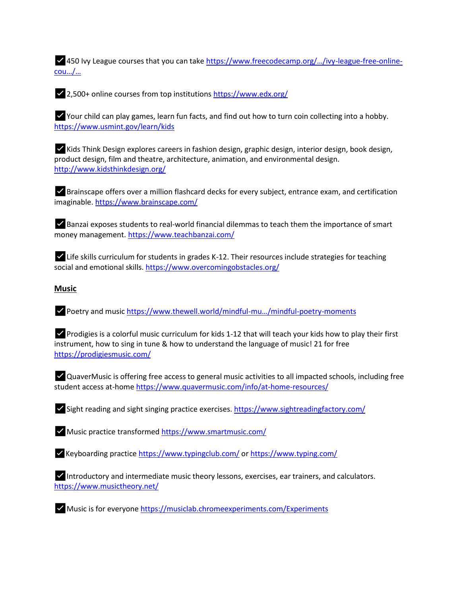✅450 Ivy League courses that you can take [https://www.freecodecamp.org/…/ivy](https://l.facebook.com/l.php?u=https%3A%2F%2Fwww.freecodecamp.org%2Fnews%2Fivy-league-free-online-courses-a0d7ae675869%2F%3Ffbclid%3DIwAR03Veir_YTejbLxkCLuoTGkPBKtPsysy-mgUOw6O8DG-wpXG6jw_alr6sE&h=AT0zkY-mJmOCf24eth8P0WFx1onXvE7TJXrjJp8p4A1dUmbsYm6Q-F3FbuYj11Ik7D-aMbp_GNpSlzxBrxaBJ09gTmWHNOZw0VJGFGcOzkvIUKP4IYABgi5RnsJN2_6V_1dofFhZO3e099T3b7Y0O0Nc6a0lpeujonMIxA)-league-free-online[cou…/…](https://l.facebook.com/l.php?u=https%3A%2F%2Fwww.freecodecamp.org%2Fnews%2Fivy-league-free-online-courses-a0d7ae675869%2F%3Ffbclid%3DIwAR03Veir_YTejbLxkCLuoTGkPBKtPsysy-mgUOw6O8DG-wpXG6jw_alr6sE&h=AT0zkY-mJmOCf24eth8P0WFx1onXvE7TJXrjJp8p4A1dUmbsYm6Q-F3FbuYj11Ik7D-aMbp_GNpSlzxBrxaBJ09gTmWHNOZw0VJGFGcOzkvIUKP4IYABgi5RnsJN2_6V_1dofFhZO3e099T3b7Y0O0Nc6a0lpeujonMIxA)

✅2,500+ online courses from top institutions [https://www.edx.org/](https://l.facebook.com/l.php?u=https%3A%2F%2Fwww.edx.org%2F%3Ffbclid%3DIwAR1dp8FPkaQaM_oxh9QmBSGMiKhQG7RW4tPrNTmrCHBb2fbG62U8J8QgufU&h=AT1GDrh3WkLzMXNmFZ-XUvIgWZBQxPoAgYWnhr04FLfLhBeUj5Rtamhog6gby_LpxWzkVge3Vc29pO426M0DdBRh1FAQIPcO4x8odJlnWUqw8BlXqolb0SDAARKFotdMIFRoOOJ-LFNzqMM6V2MWy6MEzVE0TsuD0MSelA)

✅Your child can play games, learn fun facts, and find out how to turn coin collecting into a hobby. [https://www.usmint.gov/learn/kids](https://l.facebook.com/l.php?u=https%3A%2F%2Fwww.usmint.gov%2Flearn%2Fkids%3Ffbclid%3DIwAR0j5tmOG9Eco6pZjuv1eG2Xb0nhlWBUa_L0-pwCCrN7zytCVkg2W5wLYPY&h=AT34MWwtx0ZFNJDRWw-nytOU_4efe87EJpoojAup9cuD-z6rbdIN2FX0jswGjjRmMKnjUkMxwpQ0sVGQnziESxiOMRd84Cf9TU_4jOrfjPSbs2ChisZXXq-74GrAj3VOCF2Jb6R8AByci9SXMzO-4YOHeb5zRjsbY5xZKg)

✅Kids Think Design explores careers in fashion design, graphic design, interior design, book design, product design, film and theatre, architecture, animation, and environmental design. [http://www.kidsthinkdesign.org/](https://l.facebook.com/l.php?u=http%3A%2F%2Fwww.kidsthinkdesign.org%2F%3Ffbclid%3DIwAR1hLjX7MDEHxRq_1ZU62jFYMUKkf20uXyYL85w3-3LGmiHVgwA8bIB49qU&h=AT0TOjhJ_lZB0NAE-07YO3tjUcUlvIXSe-f7BmWuz8laPIBJUJlx9wM3v__I1R60B15gZEGQIhlYh-_CLbYItxUqNee5hrQLAliy36F_QW1xT0yVOhcIORYTAgypsouwHMgI2BNfDJZpDXlT8x51pKJ7Hqj9fdSzHoa_Yg)

✅Brainscape offers over a million flashcard decks for every subject, entrance exam, and certification imaginable[. https://www.brainscape.com/](https://l.facebook.com/l.php?u=https%3A%2F%2Fwww.brainscape.com%2F%3Ffbclid%3DIwAR2hOuTAzkb6wm4j7-7NQ5Edm3fMbh28VM1zj0-VZiE0_xhRarQDMe65NtE&h=AT1IubsMXB900pjOqG2mk54EF-C_mHj1pEhe-OULV4YLdhduRWTLwFr62Wnc0ox0bSCYRw6M8rLLpskuFvEJ9YJpI1XA8k_vrbpqTtfmuEPUn6kGhupeL2QmbKCHL7ozTNnKSO90UvtFM1ZtXWbvcmN1sG9a1XdHCLkBIw)

 $\blacktriangleright$  Banzai exposes students to real-world financial dilemmas to teach them the importance of smart money management. [https://www.teachbanzai.com/](https://l.facebook.com/l.php?u=https%3A%2F%2Fwww.teachbanzai.com%2F%3Ffbclid%3DIwAR23nqwQiCCq4kzOfUz1_7z72b_XkeGsQjWT0nx-NvGoQxgDTLZ3HYiYbg8&h=AT2LpbfVtdt899t6JQgga0ecUwKPhZ9QlPL40WX36UfK1LV8oSiCZPOctKqxX4jFmVRbnnPXLTLBfsQ2I-hQAIZm-biulqqxJb15o2Eldz_oxfHtK1kOAkfILh04Z3u0EW_C1LyqFX7YXV2qmFSb5ydnxM42rn5o1ZvCbA)

✅Life skills curriculum for students in grades K-12. Their resources include strategies for teaching social and emotional skills[. https://www.overcomingobstacles.org/](https://l.facebook.com/l.php?u=https%3A%2F%2Fwww.overcomingobstacles.org%2F%3Ffbclid%3DIwAR1gTMrvA2cwKfMkkYSNgtr2Tqy_245mJKfffon4qwb_x3cEO5lKW1KuXuw&h=AT2OJKKm-Jw0oqsOrN8-CeSJTAE9rHod1sLtXInYBWclTfxZLcLVtHf2t_nLFqXM0bSdhSwbFBcqc-kaFgrx7QRvsPyrOZggTSy_kwfajweWppAAqG0bQ2XIePhBDwYiiXkJpEB_zYBuz8yjY3pCbT5BZclDxhatKriV2w)

## **Music**

✅Poetry and music [https://www.thewell.world/mindful-](https://l.facebook.com/l.php?u=https%3A%2F%2Fwww.thewell.world%2Fmindful-music%2Fmindful-poetry-moments%3Ffbclid%3DIwAR1A66au5FRDTAPp7pr9Zp_HtClOZPLMqDwWANaVyKMcGSmNUIpaN0KexkI&h=AT1gnQyqCC0lZpK_ACuiuatm4wF9OLBxllfeiyDm3jIuKCSGQRGYQyoXu2GvOypch6Sz6uuREiz_je-frLq3KTT-aB0QeSqsSHr5PeYyEXhdS9mYjOAiL2dqLPYeiyPUe1KWdjmoF6JNXzW7aLXsHGj2XakQ1bhykVzDqQ)mu…/mindful-poetry-moments

✅Prodigies is a colorful music curriculum for kids 1-12 that will teach your kids how to play their first instrument, how to sing in tune & how to understand the language of music! 21 for free [https://prodigiesmusic.com/](https://l.facebook.com/l.php?u=https%3A%2F%2Fprodigiesmusic.com%2F%3Ffbclid%3DIwAR0J3_Ne-2o49uiJgS2VqJDam_lxyQlT5v2Gy_5z5qCeoNNrmejNGSBye50&h=AT3_58cWpwwFWCvCz_aFB7eFTlqS1Rdi_m19LU5V-9VqGqJ7I8joeoauFovIaQw1zjtRUCFgxaYwoou19nQaGPlJWxvtXarxnJKopY12apSwyVWIPmr_RLzgNVQOSXGE26l1LdBTqFUbrCTdXks-r-mmMzhZPhtz7ic9Ew)

✅QuaverMusic is offering free access to general music activities to all impacted schools, including free student access at-hom[e https://www.quavermusic.com/info/at-home-resources/](https://www.quavermusic.com/info/at-home-resources/?fbclid=IwAR1ArtHamuSzR_64M-KSdfvvvYEAcdLvCNDMk8LxlkfP1hKy3xXOJrsPIOo)

✅Sight reading and sight singing practice exercises. [https://www.sightreadingfactory.com/](https://l.facebook.com/l.php?u=https%3A%2F%2Fwww.sightreadingfactory.com%2F%3Ffbclid%3DIwAR1XjxjMbm3JEKUek3dpjuO-cDpoBfD23UghrRSPSYTOFr005kMEPFv3Lno&h=AT25VpkOloZj1D6Hf-x1kXbPx5ff2DDXZVm8aBP4cSEgToiRw5V1mBnsBt2XkBWJ6geEj2N0N82YDvikAH1i677ZmFn8p_52HUNDNp3Y81llX6XW6JYUUEkb11utDWv0UDityErdvEzng5Pdz8EXxoG1ShiFV0ZXK5fXCA)

 $\blacktriangleright$  Music practice transforme[d https://www.smartmusic.com/](https://l.facebook.com/l.php?u=https%3A%2F%2Fwww.smartmusic.com%2F%3Ffbclid%3DIwAR1GvHgy_3OHAldiwovehZylDpRUNMPfy-Wu_cUYyAfJuCt_5ODn_2TnQfo&h=AT3tgCWXQN-svSptfJBJDgSL4lkcKLvW09V97DJvkyGhAsBI-Ii4yzmGbsJI2TGs1knXHJECPi2Wn43QIF6xWPPy58JdZWWt77mtwqJTclAsPbi7GPlZ2S4ngLT_Fdq1cXGI20rpndTYswZcewc5XraGIVq_eM2jLvMXmw)

✅Keyboarding practice [https://www.typingclub.com/](https://l.facebook.com/l.php?u=https%3A%2F%2Fwww.typingclub.com%2F%3Ffbclid%3DIwAR0mg7e41dKVU1NsXQgiRypx-xxjp-1BGlcmQZi_dIKxnN7ePySeJskSJhQ&h=AT2d6gxiOiQa6jHJFp7ANdxXE6tAOD86LbXnAz0r7uFLJxYLghFV-Q8J5qQDIR64T1BITL1kMSjtr1uE8mshOa2u8JHuT5jdJytptDq6vIH8McSoxgUOCMXTT3jDRMPDgh4TzJFw9PM7R7o0IwC79UHHlpqkCReDvfxo-A) o[r https://www.typing.com/](https://l.facebook.com/l.php?u=https%3A%2F%2Fwww.typing.com%2F%3Ffbclid%3DIwAR0qFj6JcQgKw7W5AYyVj0fhRB95MYc5BtiGdBJSj3dgiTIYHo1EidCHW3k&h=AT1GYQlaP-L_tbtrP1rrVuW0TkdB8MM25hoovAIppnNWxrAGz0FUd3nfWaPI6ka9rO1XFqB5DVWlY7YCB5DSGMfxrC2FiZFbNXEfFrMPpczU-l7LGSGEubBi2Ly13TMWZw-Y0bFkDv91e2WKzPN3aQzErhMSCHcixCJWOw)

✅Introductory and intermediate music theory lessons, exercises, ear trainers, and calculators. [https://www.musictheory.net/](https://l.facebook.com/l.php?u=https%3A%2F%2Fwww.musictheory.net%2F%3Ffbclid%3DIwAR2lzmB-U8WA2UE4gKDr4xLX_y0lLszUbJUNt74u7E0-ecjhco1UGQupYXg&h=AT0yeldKo45xIir9tb2dd9hqejifMZlgv4FhVlngiEas_QS1xrfGQ7ksGX-vLLjqpK-1gbK9TNyqDB9CmjI520Wj2DIA2symaAkf6U5SE8mVprWYCSaKtH400gyo6Iyw6KirGFhpJNx1C469usHsoynF2nHtYh6V-DuiLw)

✅Music is for everyon[e https://musiclab.chromeexperiments.com/Experiments](https://l.facebook.com/l.php?u=https%3A%2F%2Fmusiclab.chromeexperiments.com%2FExperiments%3Ffbclid%3DIwAR0kYL9T_5NTCUEQ1COVAxNOxZ1qZhJwhe2Tzwp9Ns9UlM1VdGyspjM633k&h=AT1m9JV9CLqk59ajJP5y1HNuerki2jdFb5jilOuhnVXL_i5XHLCayHbj10ml8eSBON2E5nPsLW45gu_LrUEIRN2X68ZQwQuVTleyln3LAEf5vFq4IWyAuY9EBrwK_S5XxrIJebJgLDuc61nAlW359pcQc_zEVS0zFBbU-A)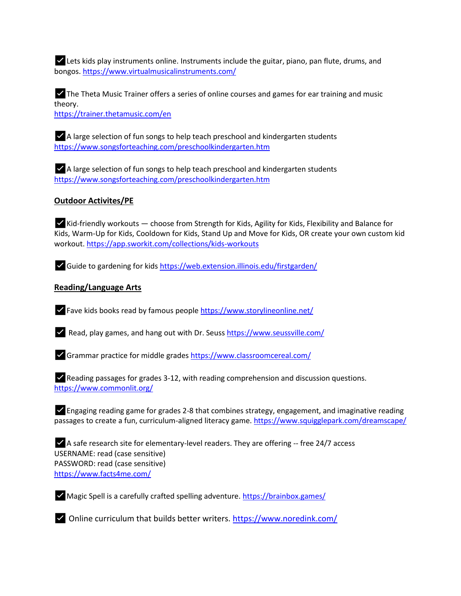✅Lets kids play instruments online. Instruments include the guitar, piano, pan flute, drums, and bongos. [https://www.virtualmusicalinstruments.com/](https://l.facebook.com/l.php?u=https%3A%2F%2Fwww.virtualmusicalinstruments.com%2F%3Ffbclid%3DIwAR209dXZrnZISaFbvAMqNA_lIFlMX5BJdgqD-dPS54VvKgphvd3AzBKEsZc&h=AT0wdRoaEs8B0Z5wBuNfPlCR3aIDIxdbN93xuE5_wus-9nKSOZ-3GVvezuqHu_3iN4vb0riT04uSpnLccaSHwZNLzsN7zvOkXi-8OhFyPf_3sAyr-rQmlTf5w1QgxtM94qlqyFxQ0qzC8K5Aie8hdO8C0cZpVzYmxpgG1g)

✅The Theta Music Trainer offers a series of online courses and games for ear training and music theory. [https://trainer.thetamusic.com/en](https://l.facebook.com/l.php?u=https%3A%2F%2Ftrainer.thetamusic.com%2Fen%3Ffbclid%3DIwAR21rw5ACs1S1vl0FHhf9Q6wlYLUzDRayrzWuod-yw-AUB4SAvnbOEeT_BE&h=AT0ZtR7_7SN316FxUPt1mUOnIKkM_OLhiisSe96fHuRL2W17U5P5YVX7Qx8bDTF_2eGN19drVW_riGn0rzxkXxY5MSOxhYsEqUxXk4MIyac28gIsbLgY9s6aUVfrzMgA8C1xiUHmRrNgurRu3WQsFDiAE9g3fb2QslXxmg)

✅A large selection of fun songs to help teach preschool and kindergarten students [https://www.songsforteaching.com/preschoolkindergarten.htm](https://l.facebook.com/l.php?u=https%3A%2F%2Fwww.songsforteaching.com%2Fpreschoolkindergarten.htm%3Ffbclid%3DIwAR0AvjmeBJElIt4u8Md5cfyKBJmtBGouL46z6I-fCnwSAGy63emz4cr1oPQ&h=AT3jpXslrsd5jo4WUS5bhGPLTkjiFPrZjL_1LMM9pAiK5PsYiXLGoGTwBuEhf3cqTXz65L7_F-lb1p0pHRVnI83qH-XzTpqoEr7bYbFMp8RsWBuodgs_FTvvQYFUSQXaTdj9gtC-okPFwuQ7Xno5YMv9pmaLC0ru0A6rDQ)

✅A large selection of fun songs to help teach preschool and kindergarten students [https://www.songsforteaching.com/preschoolkindergarten.htm](https://l.facebook.com/l.php?u=https%3A%2F%2Fwww.songsforteaching.com%2Fpreschoolkindergarten.htm%3Ffbclid%3DIwAR0AvjmeBJElIt4u8Md5cfyKBJmtBGouL46z6I-fCnwSAGy63emz4cr1oPQ&h=AT3jpXslrsd5jo4WUS5bhGPLTkjiFPrZjL_1LMM9pAiK5PsYiXLGoGTwBuEhf3cqTXz65L7_F-lb1p0pHRVnI83qH-XzTpqoEr7bYbFMp8RsWBuodgs_FTvvQYFUSQXaTdj9gtC-okPFwuQ7Xno5YMv9pmaLC0ru0A6rDQ)

## **Outdoor Activites/PE**

 $\blacktriangleright$  Kid-friendly workouts  $-$  choose from Strength for Kids, Agility for Kids, Flexibility and Balance for Kids, Warm-Up for Kids, Cooldown for Kids, Stand Up and Move for Kids, OR create your own custom kid workout. [https://app.sworkit.com/collections/kids-workouts](https://l.facebook.com/l.php?u=https%3A%2F%2Fapp.sworkit.com%2Fcollections%2Fkids-workouts%3Ffbclid%3DIwAR2YlbItsjou_RtWcAvfng78UEiIjIKNuVi2HNfFwPf_irAEoDb-JMfDMRs&h=AT02fx2l81GwFkJolvQAG9lYp2YsVLURqjWEMaq-gh8KJG7SST6ywMk8Qd6DA5dVyWpR5hM0MYqTVybAu2WInTChGw9R4P1b59ygq6yCrTTjrrfZDAufDIPlQMAbn9neJxBgFZAKzq3nJETzV6iccc_eGjOD7e4xnlGUWiBoN3qrQMcqcTE)

✅Guide to gardening for kids [https://web.extension.illinois.edu/firstgarden/](https://l.facebook.com/l.php?u=https%3A%2F%2Fweb.extension.illinois.edu%2Ffirstgarden%2F%3Ffbclid%3DIwAR2uVSCcJO6OvJg_3RBoX5mHHUWZpdgj6hk_zIcj35sz-YcJdrSdhsdRg7c&h=AT1uCNa7kwfX5M3MTLMRzRtq-NNQyXlq2KEndLb86bM1T0TWrjgzQZzA0jCW4xw1oHWwQG3WrK5X5Hdj6QkKJhAb33XMpsQlzyih8Fx1Xir_ZxJItfedffAKUZfepW7CDjmB3487BnKwRS3H2xlT_H-HPxV97kggRGvBVQ)

## **Reading/Language Arts**

✅Fave kids books read by famous people [https://www.storylineonline.net/](https://l.facebook.com/l.php?u=https%3A%2F%2Fwww.storylineonline.net%2F%3Ffbclid%3DIwAR3M_2SGgYkZDt5BaoBlCscM-6E4Z6CSV6RpvwJo-bm07IR7NwUvazhZk4E&h=AT3RYsh_wb6JqcT8j1_EtS6oAkQEsBnhq0qsZ71Ozrdi-JF31FwvkrzM0wQE4g4CasmOBd0-S3Zuh0ThbZYBUglREbYZVbEpeUPi4h-eXlV7h_tvvFby_Rr7rlsKgsfOrxVGtb1MSQ5EweWv4JgnM-MvXu5NMvnVw3KaqQ)

✅Read, play games, and hang out with Dr. Seuss [https://www.seussville.com/](https://l.facebook.com/l.php?u=https%3A%2F%2Fwww.seussville.com%2F%3Ffbclid%3DIwAR04s1fFcsTl71cutlaT9svTqXOEl5HXh8yUsPlFwlB7GmyJDByy6oD2OJM&h=AT1HHgnV7gbibG4rJ6VczMo7QGXP1pfQDKb8Ia-bTkOJ8x-EdlCY5qQVRw7WbNPSVWmyE-LFeL46ZGNHiR-VGmPxFRFIoJemcLZMI7y3TgLVXvwe-o7QltPzcVb7RBA_f-ZR0v5p2lJOqA8W_ElCvFNMvFG3g8vH6yUtWtSJY0g-AFZhSNc)

✅Grammar practice for middle grades [https://www.classroomcereal.com/](https://l.facebook.com/l.php?u=https%3A%2F%2Fwww.classroomcereal.com%2F%3Ffbclid%3DIwAR0TF_baOHmO32yfSx963RKECm2qCzxM6VubcNJ62S5YAFOgFcg83VHXYeY&h=AT0HvzjW8tDVv6nkeinWZPh_7UILw7OqeG5GRSJVMzNVCy-HuDVZtBtQmZcKdLZcyJpj56laXEUZyxS1I6ZyEhYsb0xycKb0gN6BiRs7p8KCz8l3mczVFCTgcYF8QM01yXWYcskMs8alIg01NlpbWjuRw4OnRWfA6kKdXg)

✅Reading passages for grades 3-12, with reading comprehension and discussion questions. [https://www.commonlit.org/](https://l.facebook.com/l.php?u=https%3A%2F%2Fwww.commonlit.org%2F%3Ffbclid%3DIwAR3k9TcNskCwoAclQ8KAHE13uaALEuChwAeG9hJdNrhk-AwRGANdpeF20eo&h=AT2jIe0vlPFWWrRx-9po9M-Ee0k4kzC1SNkP57H_fKTd7S0VmPG-t91dDzH3BW0bHeE9gOYt6h1EXbPaXq3KzRwX1BqFihuuYo_Hi9sDKP8WbaaE4w3U45xbCoTAdfmwOyMf54gQSBIRqTnWbuhnZvzAp3_K8ek-spRfmg)

 $\blacktriangleright$  Engaging reading game for grades 2-8 that combines strategy, engagement, and imaginative reading passages to create a fun, curriculum-aligned literacy game. [https://www.squigglepark.com/dreamscape/](https://l.facebook.com/l.php?u=https%3A%2F%2Fwww.squigglepark.com%2Fdreamscape%2F%3Ffbclid%3DIwAR1etnY4mBPI7cYhQ86QYvKDpUDxxOUdbaBdhMWOKVN4LaGpwUITBl1R3_E&h=AT3S4lYCCVwzbPee2Cm_OfbxvZWWPe7_2zFxzSBb08a8wPtCrsGVSDRCgFRBA9rLJrRim-8eh-p5lyp6r8BcvWJV9TBfN-JNXkcmIK8yp_vBsBX0u8F1eDqdPXbRKdcuus2BK9ddYQJNtgBEYqKLExrq9DzR-yebVfwdBQ)

✅A safe research site for elementary-level readers. They are offering -- free 24/7 access USERNAME: read (case sensitive) PASSWORD: read (case sensitive) [https://www.facts4me.com/](https://www.facts4me.com/?fbclid=IwAR1z239UtaC193CnmcZpWe91BDevyIXkS1cIhjfw6PetkKTpUVJeZg-m8RM)

✅Magic Spell is a carefully crafted spelling adventure. [https://brainbox.games/](https://l.facebook.com/l.php?u=https%3A%2F%2Fbrainbox.games%2F%3Ffbclid%3DIwAR0kSFycyFTYxsoniocnJEf3N-YMa09EmU9IhTAFp5UurwlPm8uNuaBRWDc&h=AT2tOFbM4BMq8zKHm7RRHYqYoveFE0mDbpYkyd_G6MggIJw58iKtL0SePUenclYkxosI0vtgUuKCYoHIGUsMM3EOGYBo9mHcFyAtjupI1c4pXNv-aIn54dgQtuVUo6Y2NIBnXtE_RNoZuMYrh5XOTUF6PTwwfcead-4dmw)

✅Online curriculum that builds better writers. [https://www.noredink.com/](https://l.facebook.com/l.php?u=https%3A%2F%2Fwww.noredink.com%2F%3Ffbclid%3DIwAR35p8QS224hpWxPxJFJZLz2UJ68kJh-7Xyb4ZhtS1p_Ak6f7mIzOWcs4w8&h=AT0ebZQyFza3NBNDvU3VPYXeJrY_lQ2lTyj3GJ_nLiKZDAKUHRERiQwVKOG4DwEXVUkQ2j6rXp4HHx_OPLq46yKu6mMppiShLA5LaJ8kxpLIWe46sveq-iKJpz_1cEV8EI-qFTFioZ9mUeLZl6gD4e8mIPrMzXk6029epw)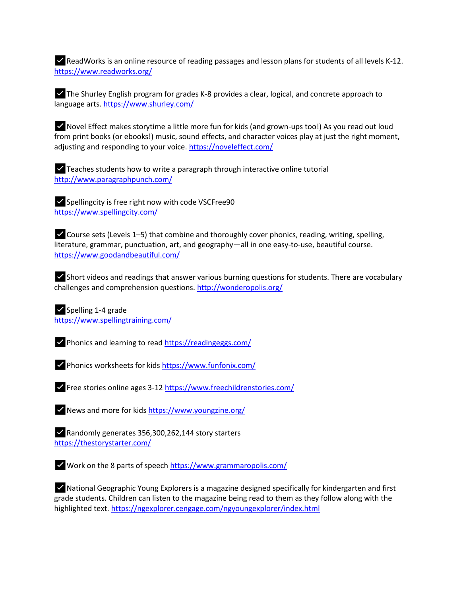$\blacktriangleright$  ReadWorks is an online resource of reading passages and lesson plans for students of all levels K-12. [https://www.readworks.org/](https://l.facebook.com/l.php?u=https%3A%2F%2Fwww.readworks.org%2F%3Ffbclid%3DIwAR1Lrs1Q_AavHZkLKeiiK79C98lUOM9SjPIc3jcjbAwh0u1prTYjM9XZnhA&h=AT1V4vOxtStOa9_AgEtArVJa_Jliac5PvLedB1gjQwDXoemmp3E9VDkYeNHfwRz9ha4-SzyD1qGxYpFE4zolLIcXd0wWvMgaYYe99Xj9e46ot-DZ2nQvr6gpyk6qtDDVEHv7C68Y1JhgrYSM6HICUFnj0voDA9curZHtNw)

✅The Shurley English program for grades K-8 provides a clear, logical, and concrete approach to language arts. [https://www.shurley.com/](https://l.facebook.com/l.php?u=https%3A%2F%2Fwww.shurley.com%2F%3Ffbclid%3DIwAR30C83EQmDZpXelVaLAlFWHMSJbbXF_L6Ea7hHV6UJTYgjQP9RwIquCc6U&h=AT1OdG_umPjwD0i1AOtSZlAx4oT1zFG2HtwAQf8Z_ORJSdFW_AI8FZUZxI7wnPloB67zHkmTqLoJgqppnV2BAtBo3qMZaVyIF4m9KlD4MivjAyRayc_cNagT4VhNq5jr3jBzOMXFJqYh79eLOgHKtbhuRNakVn_jnA6mZQ)

 $\blacktriangleright$  Novel Effect makes storytime a little more fun for kids (and grown-ups too!) As you read out loud from print books (or ebooks!) music, sound effects, and character voices play at just the right moment, adjusting and responding to your voice. [https://noveleffect.com/](https://noveleffect.com/?fbclid=IwAR2ScUuyLFQ46KuaNRoVY08VS-fK7hiTusIHlYJ0nvn7Se8AYqTBoVQaCYU)

✅Teaches students how to write a paragraph through interactive online tutorial [http://www.paragraphpunch.com/](https://l.facebook.com/l.php?u=http%3A%2F%2Fwww.paragraphpunch.com%2F%3Ffbclid%3DIwAR0ERj99XwtkNqcuxrScHeXB-_fn5K-3IvuzOo_fBBpNiFfEFBwNATiyUn4&h=AT33ecBXyA3LSdLNsfARYgSNz6zHmSqi5JKP3RCjV86stGq54lJZ42FJoV1Fu0BLequmk16-igZDqsH6BJIaInip2LbccdNfD-apb6LUU_fXZGNxJU7Es_4UB3ac3Kic59wgB15Pg0I_RhfcdLxG-H_DvK-JYXG-Xgo0FA)

✅Spellingcity is free right now with code VSCFree90 [https://www.spellingcity.com/](https://l.facebook.com/l.php?u=https%3A%2F%2Fwww.spellingcity.com%2F%3Ffbclid%3DIwAR1ska_qUAqs5BmUl_3WoJrlkkmMPLnKJeO0bydKWRBenZhMY9HQuBpgrHg&h=AT3YUmmMNrK7L1yEHRQxZW3m2a5jMOdHwrLEBBG6d32E7FFFhBSwhke86AD1vMd5X2w0O9gV2kzvrrU1E8VeyINIXK3LwQa37VnxMZbzsDXKB3v4HqEv61CrH6fhxVG2SoRsdPvzvdt2En-kZLfuuHkT5hQn2f-j9ggIrQ)

✅Course sets (Levels 1–5) that combine and thoroughly cover phonics, reading, writing, spelling, literature, grammar, punctuation, art, and geography—all in one easy-to-use, beautiful course. [https://www.goodandbeautiful.com/](https://l.facebook.com/l.php?u=https%3A%2F%2Fwww.goodandbeautiful.com%2F%3Ffbclid%3DIwAR2XwVBlqo-fNpC4jqdIj8hPGMSRLkveirfRuf5Nwx5lQqZGnrkO9g4VYeM&h=AT2_PmWETZduq7B_op9xaMUKHg3rzXPfITgRH_s18pw1KDRDjnIgvSnZanvTxorlS_WSgSqgoMfbLLaDnUnEJZCew4BTp8qCNHLXxQ-aaTuSHi4hfbryuoAj-tm55E-fcOTOAR-NkAiEVNbitXBVj9C52bBdaSHYPb3ilg)

✅Short videos and readings that answer various burning questions for students. There are vocabulary challenges and comprehension questions[. http://wonderopolis.org/](https://l.facebook.com/l.php?u=http%3A%2F%2Fwonderopolis.org%2F%3Ffbclid%3DIwAR0lNg03xMrHBzAkqBoIOBDadLPy6c1hftZEUdUt2I-4poMSPX76fpjqSKw&h=AT0d3Trqom8KGePMwTn4Lp-Arw4KV2lRogd-jbz6Eg9TXcgxqht38lGUjc-yxUEGhlf7ufp3hYtmz9GKxcqc-oetSuFMX7LDWlC-z7yzO5cRvCf15eoG11Z98QyQbI2C9vUberVN7j3sOWHZMinsG3or-bTdifEgxsN8eQ)

✅Spelling 1-4 grade [https://www.spellingtraining.com/](https://l.facebook.com/l.php?u=https%3A%2F%2Fwww.spellingtraining.com%2F%3Ffbclid%3DIwAR0ONOaTdInP1iJSdC_WgWw7t2P53dftdIN6J09AcziDUVVzG3sCcLp1o4Y&h=AT16bkUDmhYdDTZOuPQolY4Kmt3bnRGLKusFqCE_xVLVEpQZ46uYsSYaZitzUvXLh2qvHIb4yhD5jO1J-6_DPDemNpbeJC89qcamiUmOnNb63D8TXnEAnBZFXp_-dpdViqixKCo_yApI7Bc-R-EiAvMOHgvjZvjaxH1OAg)

✅Phonics and learning to rea[d https://readingeggs.com/](https://l.facebook.com/l.php?u=https%3A%2F%2Freadingeggs.com%2F%3Ffbclid%3DIwAR2afWdwGmeMcxk2iq9VLSzszGU_Qir8_fwYGF_oXsiC9ZR1qUYEzdklWLQ&h=AT2sBP-a7iyltdsR1rBroeeP7-sUMXp_OrjZQV-wyxQEPkqHGQlgtF5e2kcZgo9NI4_WzQtC9XT4xL0Rsx9nBDFHiJqKr2kQkM61_yVlsgvjeRX8WVV8NorDo_dympgP-moEfArpN30IljovHztsT_3n2Q9gizrCwbnTKg)

✅Phonics worksheets for kids [https://www.funfonix.com/](https://l.facebook.com/l.php?u=https%3A%2F%2Fwww.funfonix.com%2F%3Ffbclid%3DIwAR3lje2yoiSAs0U6ejr_DvJAw75bzDeU6fhekKWzP42eLCk-1_JcXggz6S8&h=AT0_KZmpAjV7HV_Cwg3evuKbRxt6oLwn-4h5wrL2WupGSB4Ax8Lrmodd-EckMKO99NRXKEr11AvFRl06KMR_TJy_T85fzz6E22tkqM__dTKdOFFhBY4DCCc_A3uA0Td-LnfWihLzGtdskHuS3DSDF0m2PveJuOzYuA0gqQ)

✅Free stories online ages 3-12 [https://www.freechildrenstories.com/](https://l.facebook.com/l.php?u=https%3A%2F%2Fwww.freechildrenstories.com%2F%3Ffbclid%3DIwAR0A84-OwFY3mvoNpanITW9WOIVplkkxPZnAeZAWddt7VyfFlhq_CgQcu_A&h=AT3YaAqYgmfCGIiXnseJEH3IqsuDLmIWoit-TDpwxlls7dclFpm0-IEF-7yhF9up1eagEMPQ4fsnfXT81oeU9X1UeHyzM-Ppx3RtGorV5SItvVEL1i-mRPkfnv7NCxk5_QdoWYNwgJ8t0TNHivpOAbzY6dPZAzCPS6DeZw)

✅News and more for kids [https://www.youngzine.org/](https://l.facebook.com/l.php?u=https%3A%2F%2Fwww.youngzine.org%2F%3Ffbclid%3DIwAR2n-yHIVVh3zAHr1_rSfjavhQoU2rBA8oPKx3q0FfcdPb6JNfwLoTQ_3MU&h=AT0BeHYOgeSN1cADVte1ze0QEqi2VjQ1Is94fAJ-GNvsSvh_JKUp-_IPzk3LpKXmiQvBKADvzb9RC0mae_xcTaKHNpFQCAuJuwfh4SD2PskdPM2WglaHGDNlbhXDFpQYKM-V2BJF9952zliuu515LvIiKA5wQk6-n5abkw)

✅Randomly generates 356,300,262,144 story starters [https://thestorystarter.com/](https://l.facebook.com/l.php?u=https%3A%2F%2Fthestorystarter.com%2F%3Ffbclid%3DIwAR24ZDhNpDjrwd6n7fUSnYqwD4xZVqzrchJln-rlbJobrY8Lj-4m6tjGqvQ&h=AT3AODf3RLE08TRLNhIzNFJP6NR8Nq-9yIO69aGj6PVlfuzwWQSXjrnzFlXKEq6FGnmyLIgbysFBwXtQgJ3tECMio4ZP3Ow2JsBAbgQ0tKoabjiPdYH5UgKub_E8_hKxXOVzYNVZLvsPlhy9kOdYaitR7gfke1UViqqWJw)

✅Work on the 8 parts of speech [https://www.grammaropolis.com/](https://l.facebook.com/l.php?u=https%3A%2F%2Fwww.grammaropolis.com%2F%3Ffbclid%3DIwAR38ScWEdvEDEbPa64DuBL1O2P4BzeV49Rfz43hjyISRbB9ctX4G7gXoEPA&h=AT1JCiaD3VAgF1o0sC-qpaHwoDTcg3R41S7ga_QIqSDGSkfYJYLsUNtIA38f-f5Yp-vkmrX6776hEglrmAWjtCzptP0DbQytDZlbHK6HFoAyDyQZ4RD5-jg8SZQt7zq9OpmwXxlX50axYuaWdNSbs1HS9RfVnvtcq8Sdsg)

✅National Geographic Young Explorers is a magazine designed specifically for kindergarten and first grade students. Children can listen to the magazine being read to them as they follow along with the highlighted text[. https://ngexplorer.cengage.com/ngyoungexplorer/index.html](https://l.facebook.com/l.php?u=https%3A%2F%2Fngexplorer.cengage.com%2Fngyoungexplorer%2Findex.html%3Ffbclid%3DIwAR0pnvupJL4axgPvz4z3DxVI4Jl3YOi-NHYc1KKf3sN3cCsCAHx3cSl1W7g&h=AT10VNHJLXy8rNSTniTGyUKNLJRzbYegttIa5gd3hLrAzaaonx-z2v9QWAK8ddWE-jrbjXLAfD-P5t5ShpwMHmjOYQ65n_iA3DvutSUFmV7o_j1Q3Qyn6f_Ao7x86tj3M0vs8WYSJC5zCXTbfXl0Qm3GkA87OsQ1A-9XsA)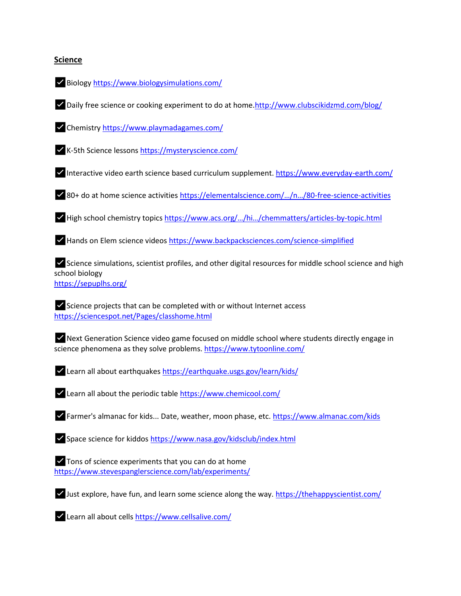## **Science**



✅Daily free science or cooking experiment to do at home[.http://www.clubscikidzmd.com/blog/](http://www.clubscikidzmd.com/blog/?fbclid=IwAR2yYaskdX9wRDvJHFuoUVVl3AevqIo2_Px_q_wiPGZTH67Jo6Oypu_keiE)

✅Chemistry [https://www.playmadagames.com/](https://l.facebook.com/l.php?u=https%3A%2F%2Fwww.playmadagames.com%2F%3Ffbclid%3DIwAR0cUSzFJQAVbW6GJRirKCa-XpLwZjO0K7TTKWmIrN2Crgnu4Q3Zu7H2eP0&h=AT33TlrdPAewlVIaVZDcAXp_9rVHKeN8N2uJiA9sCR7RkqqJObNuNh4peMpO-BZvTVg7MBz95GwyqcWm-nvyQ5zRt_EVmo14pASMSPE9yf6U-29bNKipyaUQ3iCZz4mE1Z8Cq1-PAtTj8y5yisG16-QsLbHuUNnfw8J8og)

✅K-5th Science lessons [https://mysteryscience.com/](https://l.facebook.com/l.php?u=https%3A%2F%2Fmysteryscience.com%2F%3Ffbclid%3DIwAR2lCAJzow1jJEhtpOtCn-ypRz_JF3Fwz-x5YJ4jbRmuL7QA_bz9tVEU3pU&h=AT0O3n90kxQHeL_gyOZPg09G_cpR0RuFH-uXICIsN8EOfdE-CnL51hWfWPlto8riKyGELGXnmwbSch019GvdmsyuG0Cqsd7UPWj4mHJzoRbetmI67zwFBBv5ZQ5csLGEuqs5PxiBp0GSht82Kl7O576AAhexjs7izQEwLA)

✅Interactive video earth science based curriculum supplement. [https://www.everyday-earth.com/](https://l.facebook.com/l.php?u=https%3A%2F%2Fwww.everyday-earth.com%2F%3Ffbclid%3DIwAR1Kx6Nj2bVwbEKJVgd-kjFX2oTr1_8m-TSbS1InpvY7snRMAkvlTAhhAU4&h=AT0W0jf_RIGsDOJ008xkqmC0zkrq23mJovKPZXPFy25-ZLIsXTRczzUHAJSS5CmEtXxiin47DdgJwIDBrX-hshdZPHkNX7ocT_hZlBmDWJmIyws-SnINK_Wg6PjryhE7146fYbHb0O105jm3tt-b7iTeU-otivcRYd-ldw)

✅80+ do at home science activities [https://elementalscience.com/…/n…/80](https://l.facebook.com/l.php?u=https%3A%2F%2Felementalscience.com%2Fblogs%2Fnews%2F80-free-science-activities%3Ffbclid%3DIwAR3tXoyhEf9PSwL-aI2-onit_ANWIcigStpL56mLEV48F21WHEZBEhOTNFQ&h=AT1DjJYKOE2awUoaTIjfzRJCfN80ESb_ee4OdXzNuJSmKSC_Bqct_Lvo1I16v7S1y5hQ5Pg1gmMEv6fEBSxuaJDHPSLn1EZzMn8x8-PjPmYNZmJLA0xzYqEZeRiqHJiCTUXiIL27m1gJbGvbLoIzAXk1RqeUAWMgMmD9zw)-free-science-activities

✅High school chemistry topics [https://www.acs.org/…/hi…/chemmatters/articles](https://l.facebook.com/l.php?u=https%3A%2F%2Fwww.acs.org%2Fcontent%2Facs%2Fen%2Feducation%2Fresources%2Fhighschool%2Fchemmatters%2Farticles-by-topic.html%3Ffbclid%3DIwAR2JcPUmCXkT4pT_TqGYo48YYOGEo0uG5qA-NWg14Z7KfPVcd0gw6qljQaI&h=AT3UwgicUcpmQYfWQ267Ivi1c8TfMJ28-FJombFf9wjvh4HPUHI1KjKRvLvQndJ8UoIqB8U60wjRU9sT7v3GwXy0yqHtAbTaxiSoVqxup9qVyI0OxJskS2XUBcbrpcGOHQGQXlh3tyjFK9-EXVPg0Bl0XKyABvX36czAxQ)-by-topic.html

✅Hands on Elem science videos [https://www.backpacksciences.com/science-simplified](https://l.facebook.com/l.php?u=https%3A%2F%2Fwww.backpacksciences.com%2Fscience-simplified%3Ffbclid%3DIwAR3uNS1Yq9PUh4hjDYT1dEzeNJf-UaVg-RUhhQFoP0ZDPSKMOjune8mq1G0&h=AT0gLeF_T5BRfqSGo_-F55IqBtdZw_TObANxMRXEWKxUTa_SoljEc-gwOMfxxWmeqtl6OqHmC0xdmiPaOcQgVOQfG6rYxEG5ZtADQKq14TH8usdcRieYbpLaVxdEi4wDlhztDJRkYXHt1f0mbVBdDHWxDMKTJetptBu_Ug)

✅Science simulations, scientist profiles, and other digital resources for middle school science and high school biology [https://sepuplhs.org/](https://l.facebook.com/l.php?u=https%3A%2F%2Fsepuplhs.org%2F%3Ffbclid%3DIwAR32bJQK136_qDFwI6F2m1PiTvfYREpoy-CEIe-Ht33l57mtZ2Tbs_fs3rA&h=AT3oAsC7SaPCxLsSGkkYHavKsF9JgQ_IcBzSuGHQ7TYgttUWdqM2AZkgj5pisf2wsAm4xGYulqnIZwy9j36Pts4bbrFhnQgIR86rbn7ko2ZEPSIEtuLySkgwR7RGQW3FEpJ789_Sb9m32V62BtSxerWtJXB4INv6RojySg)

✅Science projects that can be completed with or without Internet access [https://sciencespot.net/Pages/classhome.html](https://l.facebook.com/l.php?u=https%3A%2F%2Fsciencespot.net%2FPages%2Fclasshome.html%3Ffbclid%3DIwAR36sEOheKqXofklqOkXenJ7tgpjgRlJfGzaZ9dzUP2OxjXzXtC4k7YXUQ4&h=AT3lZKQKrb4LBbHkGRhU-xWUKEiLOfNQd3mI5QDYvGdiq7LcU5oima1yYlSuyrCiN2wR4Ui5iaOD4V7DdoS6TVinpHB73taCqkPGK7rIPN6ynAlxIWg44dZADauW4BvIFtn6DV2DWCZPo3ohHQ_CUW-K2eq8hmM_Y_hTJQ)

✅Next Generation Science video game focused on middle school where students directly engage in science phenomena as they solve problems[. https://www.tytoonline.com/](https://l.facebook.com/l.php?u=https%3A%2F%2Fwww.tytoonline.com%2F%3Ffbclid%3DIwAR1tLWAxnSR2E27RgxXZMqd839u2jzwlWUrYVbjfYd0ygQQUwoPDYRpWEHo&h=AT3LzkQD23SKUkzSfETLCPPHzkL1lhrDguQt2Coff-Lap--sK3SQGF6ThRybf2uJvkkUKHLLupdEwaafVcWAamRfFhh9KtIlfYsSi6Lt566vKUx_mPJNt88whOU2VTelfx4T2CvGlC-plIAYzHrZyUJC6tqZsyZqGgfmnQ)

✅Learn all about earthquake[s https://earthquake.usgs.gov/learn/kids/](https://l.facebook.com/l.php?u=https%3A%2F%2Fearthquake.usgs.gov%2Flearn%2Fkids%2F%3Ffbclid%3DIwAR2bXie4xMVqe8xWZoYfU4Fngbdzl2QYKU5853w9HbRZ6zDxLkpvr5auNqw&h=AT1FtYY0Th1tquLbXqjY8nvsXhcPLq5z233zBeZdKZa9KQAP7rqD5Cxci1QVvuqewq9u-gkM83hJjl2nCtYcu9L8BlrJ68BSXBSz6xoZ3J2UzHLp0LNt_91V36EPsY3j0xKaltVxtV8EfqxVrx7d1Zi8P_0BF3nfU4d3-Q)

✅Learn all about the periodic table [https://www.chemicool.com/](https://l.facebook.com/l.php?u=https%3A%2F%2Fwww.chemicool.com%2F%3Ffbclid%3DIwAR2q-CP2m_keLY7jf45n2NneNfk5GtwyasOWju-CU_VbVTmfkI4dXZvM-Ss&h=AT3NqRRhSo7jd6yHByCtJBiofT9dYd9UXn4XzziSoZ3rHr-HLdzBAEyLqrUPjsrqBZwbZ4gLBlf6KdiqhfdKyosLOmnrVLji8dDFtVlt4DLxttmQeykU9trO5GxqiQ84iABdqgNnlLMvpegowCPBL3BTXhmiHQMyy7spKg)

✅Farmer's almanac for kids... Date, weather, moon phase, etc. [https://www.almanac.com/kids](https://l.facebook.com/l.php?u=https%3A%2F%2Fwww.almanac.com%2Fkids%3Ffbclid%3DIwAR125Rt0alvL9QjvDoBkhgQyWFanqbASzf2T1hLrqlhWB3W19UORk2SeO2Y&h=AT2_SFds30jdp2kDwLPg-6PdMC2BcUjvB4UnfQ4dfoho1XiDEIbTu-FpWayUUy6ffqrV6v5DqmpmjiKkcxlkkrjWVdYwtF1-kuY0oI1vl4uulAAw-CBmXa_hOn7jpFfmPWBaIZBBBZA4nh2-V1ln5XMF91HDT7jCuAYklQ)

✅Space science for kiddo[s https://www.nasa.gov/kidsclub/index.html](https://l.facebook.com/l.php?u=https%3A%2F%2Fwww.nasa.gov%2Fkidsclub%2Findex.html%3Ffbclid%3DIwAR3rInww_3lxnk5iH62pIFI8dr_X1F4W-Kt3y6WwNOpozIlg5g6UHDQBXww&h=AT3ykkoIAyUFA5gludOWaTX6cCPE3-78Zr6xqylyDXkmfiT69l5U7MRPqGMC0mAwMSxGZyibZ0JOFjMiG37-5SjAeXCUKhAGsaBlEoiH-Ca8cZRUGrD0kxuP8rCU9aaWBhwCuWaettdiV8riY4uundBgNq_mDhp6rGnXFA)

✅Tons of science experiments that you can do at home [https://www.stevespanglerscience.com/lab/experiments/](https://l.facebook.com/l.php?u=https%3A%2F%2Fwww.stevespanglerscience.com%2Flab%2Fexperiments%2F%3Ffbclid%3DIwAR3euF5_5bIC7ue1i6SjBNqPxN2eXfqSPvb7YmK2WtVzUIMfV1gVB2c07zg&h=AT2JZ3EZFm6EAonxskNIBn1zMk7MrOtRc-HUlsAncLm4rh_n0hMCz7VH8MLhNOQqudF1fjtRg7l79mi1wouvFCXaeQyXZd71S6ST5LIV_U8mIJAyBrKOkjOvii-T7aKBQKhSToNC-jrTzJi2ZRqXI6mc4b_GknJ6fBz92A)

✅Just explore, have fun, and learn some science along the way. [https://thehappyscientist.com/](https://l.facebook.com/l.php?u=https%3A%2F%2Fthehappyscientist.com%2F%3Ffbclid%3DIwAR0lJPUoBLC0V6vSrK9gRVfbm24flfCJer-5-pC2Sr1U7vJNNt4ofQMC-rg&h=AT06X5GU_8XODE4TNTChr1OUK6xqEufXdcNY9gxOWu6xzleuEmVARvhWjYVwBGajL8VbjSk6G1-4F1NVsDx5o2W1derjlL7jDmHAfMfVXz85W1GQp9G-ZSrW2nYbygYzaa_TjFQSrIsHMUMqu1LwFUf-WUmL6cFMxmBxUg)

✅Learn all about cell[s https://www.cellsalive.com/](https://l.facebook.com/l.php?u=https%3A%2F%2Fwww.cellsalive.com%2F%3Ffbclid%3DIwAR0-IeZZwGdEzvMTS42oL5mUAQJFg-rDV6j5U6g2hWYNRRAfgyU3cMiIsOw&h=AT3NWUnizw9rbOLcEbfzEhiMQ1DUe7X2aY7M9Xp34Lab4ysC5LSjajFOmzp6tTFpsh46zRXu5juoXH7O1akSb_nlW67Zb_HzgKgK-l4JDgjAMHK-Sw9DcAIE_MljlquamseamRsYzh9ywRfSC_RCbzuvwyV2bxHcXq5zJQ)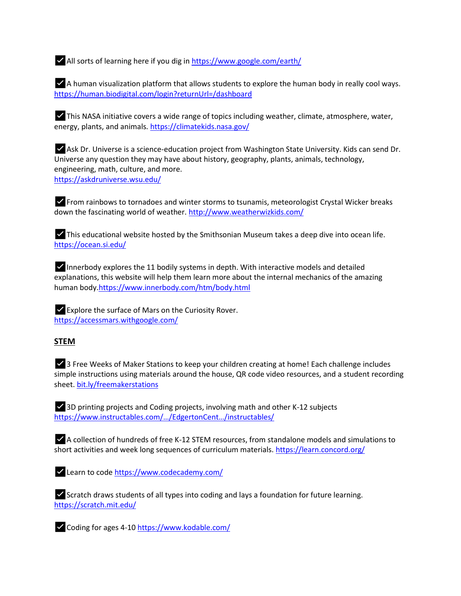✅All sorts of learning here if you dig i[n https://www.google.com/earth/](https://l.facebook.com/l.php?u=https%3A%2F%2Fwww.google.com%2Fearth%2F%3Ffbclid%3DIwAR0YVAK0hl-H9wGVizHGyWJC6IoLeJROSrr0pHXh8EOt31pWKLKliFj91Ac&h=AT2sk8Ao5qhOmfnRVKIflxG7sUW-9zEAgMW97PM2-kZysFaiDW6-MmbHdaad1RjPzHoRncN2cw2Myr0uKmypSIrC3CJgPr5SPAqxBCRxWC9mLzfpdoi9dXLY-ZptdOs-TMM5aV4A1nazNSj0vDd8plfFSRnnPwGWfW5Q9g)

 $\blacktriangleright$  A human visualization platform that allows students to explore the human body in really cool ways. [https://human.biodigital.com/login?returnUrl=/dashboard](https://l.facebook.com/l.php?u=https%3A%2F%2Fhuman.biodigital.com%2Flogin%3FreturnUrl%3D%252Fdashboard%26fbclid%3DIwAR10uRBBZKvUSh_yqNxTIRXLngBdQuSgH2L6_Pke3L1M276LEs42gwGFG9U&h=AT0PeS8qcc2ZPOsSJMTwrSWvqUAt-A1_zHzP-gp9sNHUQrhgSudTtYMyyUl04rDveHQJJLNBC21DvFlvGHeECHg9mVF2ji8uobZx80VRcqT5Gye5aiuSr1Z6ZrCXiF_9dH1nSgYBDCUvr1e-d48f4mm-bA985QK4Vbt_bw)

✅This NASA initiative covers a wide range of topics including weather, climate, atmosphere, water, energy, plants, and animals[. https://climatekids.nasa.gov/](https://l.facebook.com/l.php?u=https%3A%2F%2Fclimatekids.nasa.gov%2F%3Ffbclid%3DIwAR0ZvM_rgS-7VNKz_-Puyu_jhIVrOt0IKTIwRCaPOp5JiYxZuma8iDC5bLQ&h=AT1sTXm_lmjtx-GsY54jKta0xIztYwG5HZvibehspKG7e80Tk_2wIAYzP8tzM4n8gCIrRXd-JnLRc1E3wUnI9rGWVtl7QskHzjIFL6FmR311o8Qax_aTuMlTCpIpD4S09PAniNEkpM8k6DvjJO8aIZcUIZ3gXz187n0J6A)

✅Ask Dr. Universe is a science-education project from Washington State University. Kids can send Dr. Universe any question they may have about history, geography, plants, animals, technology, engineering, math, culture, and more. [https://askdruniverse.wsu.edu/](https://l.facebook.com/l.php?u=https%3A%2F%2Faskdruniverse.wsu.edu%2F%3Ffbclid%3DIwAR0mmz0YGFRSPQu7Fav0mJzS5H6W7qRh7qmJZZIqLlBZ-uB8i2_4fAmpN9Q&h=AT0qs1mx-JRinr-wkq3lyXN_z1ZzBlItlTUsNahbeSVIf2ZkonhvCTRN01CfF4YGBCfCBvhVndb-9k-yLrdDdBYdfkEJRkaRRE5xE9i_ixnd6MfQvaUqw_-9x7gaCgLMLidRfcg245lw_o0eMJCPeRPbCqJ-SP_lnDr75A)

✅From rainbows to tornadoes and winter storms to tsunamis, meteorologist Crystal Wicker breaks down the fascinating world of weather[. http://www.weatherwizkids.com/](https://l.facebook.com/l.php?u=http%3A%2F%2Fwww.weatherwizkids.com%2F%3Ffbclid%3DIwAR2kvpK42uVaRCufTezIDLwj3d9UsZ6a30xKcLyQvUWMkKeBgfalWq5HZ2w&h=AT2Xkn356KG-E52ue3o5Fyla-UzsMs-3xv5hKgYHXVESpWET_Cc8M4UV5stjTU2D1gpWaRnlNtopu2bdwhKZeo04TKu_G3Pfp1Cg-BQsdBBJWivNl5JR2HL3LTeNeOrhW5Kw_fNBsjXSNeendLfVDSGKotWVHw-YL6F7YQ)

 $\blacktriangleright$  This educational website hosted by the Smithsonian Museum takes a deep dive into ocean life. [https://ocean.si.edu/](https://l.facebook.com/l.php?u=https%3A%2F%2Focean.si.edu%2F%3Ffbclid%3DIwAR339ljw2ssTSxo77yB3xDHN_tAAj3GEPzGBUF_GAF-_M0QP83oRTvBBlqw&h=AT0pXFiE9OJZEoXQMkLMf8LUMSkHUgPTttOrQbVEPDNMQOgAGL4h04l6m0gvIiYtyQrTnMOVhJWMhBfmwg7BNQHPRAjcVYg-IZnvipy5gMV8qIdOIqzd29sXw6iQd1Vk5NMChrVhzBdIYy9E2m1TpJw1yaIJtAbEgXOC7w)

 $\blacktriangleright$  Innerbody explores the 11 bodily systems in depth. With interactive models and detailed explanations, this website will help them learn more about the internal mechanics of the amazing human body[.https://www.innerbody.com/htm/body.html](https://www.innerbody.com/htm/body.html?fbclid=IwAR0zl3AzdDSqLFLsKRQZiSHkiYvbCzMwWh7jgvNF5wVWU7WFBFDINKgxZ4U)

✅Explore the surface of Mars on the Curiosity Rover. [https://accessmars.withgoogle.com/](https://accessmars.withgoogle.com/?fbclid=IwAR2jPTBivouB4JCZ0hkHoBVqgG6G2FbA8Pf6bbch-HwIrv39QgnqCul0PTM)

### **STEM**

✅3 Free Weeks of Maker Stations to keep your children creating at home! Each challenge includes simple instructions using materials around the house, QR code video resources, and a student recording sheet. [bit.ly/freemakerstations](https://l.facebook.com/l.php?u=https%3A%2F%2Fbit.ly%2Ffreemakerstations%3Ffbclid%3DIwAR1ymo05sblvJ9sULVP4CHHTA60xgrM5SYwQpVKrdLYK-gyc1_L-xW_UhBQ&h=AT0Cu1-YjoGnyEN0E7saPcKyb8RYSCk7y-ncamTh-RNww5Z-qxBRwDOaxMR9hpF5aPT0mZxyYdgzxHxMxAep6E2HnbjVPhYJPgxVMT6fX4mFKp5G7UCeq4qegp_5uGi-GqJnHm4EQHq_xf6j8aKRXTkV6doeIMMFnqNs4g)

✅3D printing projects and Coding projects, involving math and other K-12 subjects [https://www.instructables.com/…/EdgertonCent…/ins](https://l.facebook.com/l.php?u=https%3A%2F%2Fwww.instructables.com%2Fmember%2FEdgertonCenter%2Finstructables%2F%3Ffbclid%3DIwAR0JulHQjmfmdb3pAxMLsmMY9imDcZugGBzZkKGcpmMr30Tes9L6BLr79JM&h=AT2HNzZEBYYnnZYP9DgJtR5T1Qja-lpW6J2ZFTXNGNkI80JlvtqG-zCIYhcqnUVE15WDkj0XMbPZ_qX0nDSKmX25B4iTHuKkIR7uAqRAKDDgvLKCcPf08hnkanIvUb9BlNey3Smvihn5F2yyF5hbPYA8Clz8mcaHiImBSQ)tructables/

✅A collection of hundreds of free K-12 STEM resources, from standalone models and simulations to short activities and week long sequences of curriculum materials. [https://learn.concord.org/](https://learn.concord.org/?fbclid=IwAR1Rfu_FnETnuwIfJ4kr8vSjHurs-TWnORU2hfUrMJs4ToMOWQ-7cu1xgb0)

✅Learn to code [https://www.codecademy.com/](https://l.facebook.com/l.php?u=https%3A%2F%2Fwww.codecademy.com%2F%3Ffbclid%3DIwAR1qqSzm-Z1HWWqUogK-JLQSDB6AfJEQpBlbsZdSTU18rxP-V4A3q2teIK0&h=AT0SpD-WdkVnn0H9gEueJrXG7C8Vfaq2i60gAvpQL_ZwvcL2pI59yOCYcRVIKHkVkzP8KDVQbTVPhhbTkR1fFacHCbZMZZb1olXxRRPxxoguShgrcS7I1_MdYSx_obYsoHTjqEQ6_lZCzlKu3Rz_fVKxazGzrVJe9w251A)

✅Scratch draws students of all types into coding and lays a foundation for future learning. [https://scratch.mit.edu/](https://l.facebook.com/l.php?u=https%3A%2F%2Fscratch.mit.edu%2F%3Ffbclid%3DIwAR1hqJwwuPX8GEpSz8oe-vdheY4aj3ku5F4C9SwV5Lbg7ptdePaUGmzHPcI&h=AT2TayBWXsGyDq0XVIgJncWA-da7kCf4EipSaST2liG3WFYfLR3ov3dJjaMjJPMTEms1t3jFKihKfunS_Ns93YjIef0-fgQRPhTxFt1i4iN4Nwjp9UFcvTLXogeCXFGhwi-HzN6qddEcVs3-qlp1bvACysc3fH3ALvRtrg)

✅Coding for ages 4-1[0 https://www.kodable.com/](https://l.facebook.com/l.php?u=https%3A%2F%2Fwww.kodable.com%2F%3Ffbclid%3DIwAR2Q7l2YmMDbaxcic4oB2m285AqLBfxI6GLuO0we1TxkEzmF03YhlpVy9n0&h=AT03BJJx9xQFHIULNwxpDUg8UlzrWdNLh4kIkbb5gsTcfcWSqJ2OZsOMHjbD5_3VAzWJ0PZBfOzSqNmYFXNDVT6VA2solPX1GIm5Z2etNfOw9slGwwxWpDGl9dCAoibhvRYzbUFGDurpsK2qBJEQizBUVTsupDxtaoVGkQ)